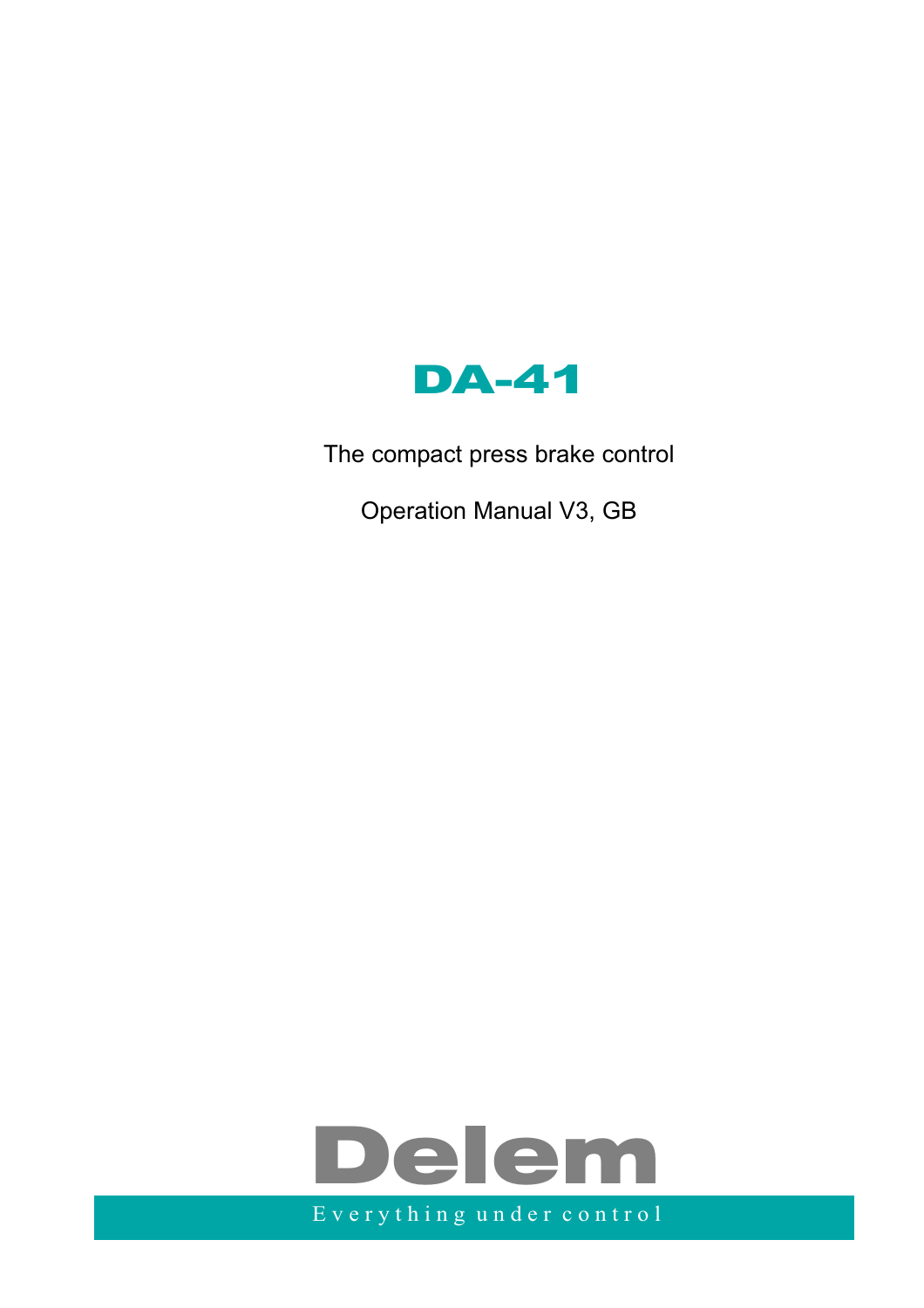

The compact press brake control

Operation Manual V3, GB

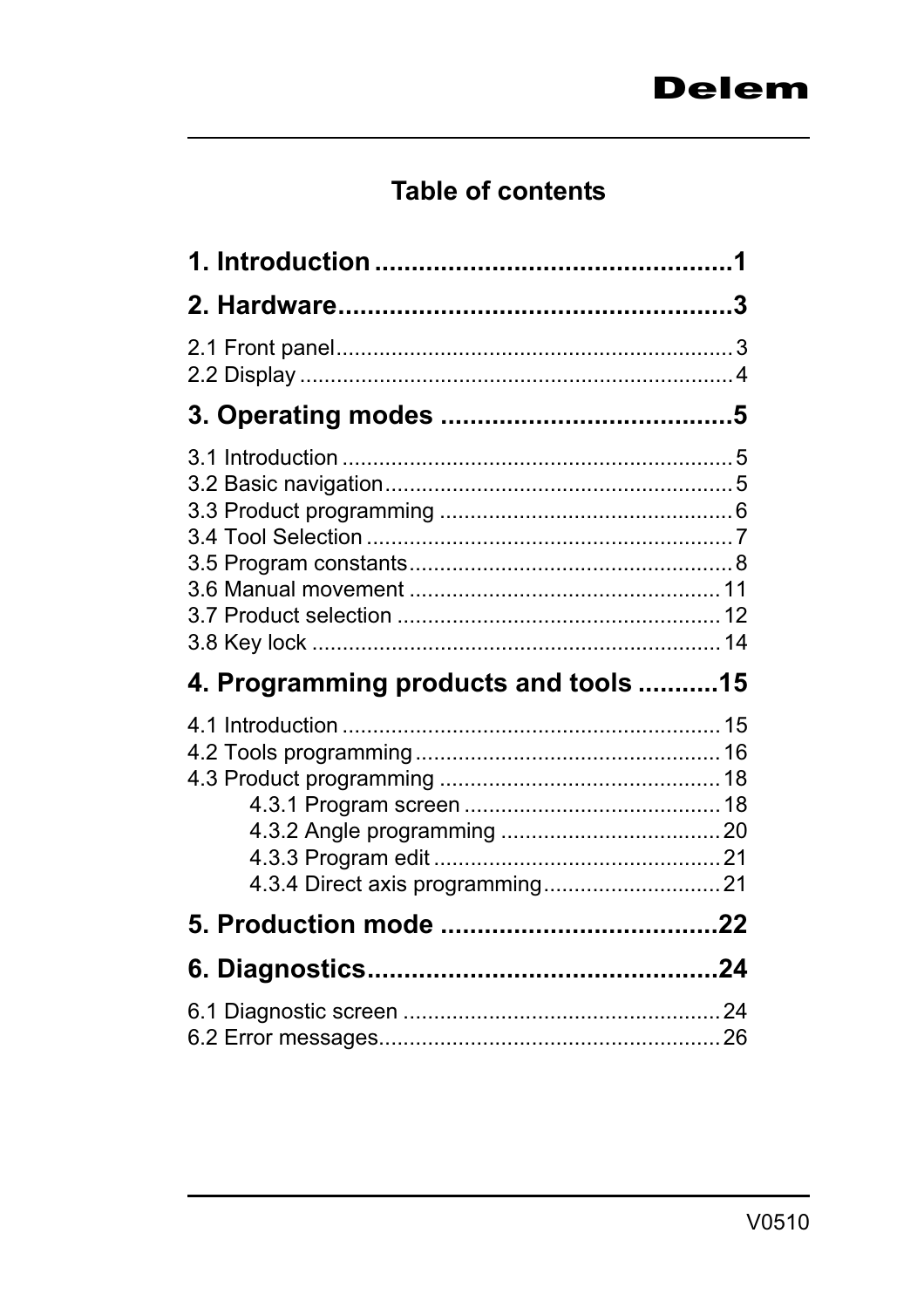## **Table of contents**

| 4. Programming products and tools 15 |  |
|--------------------------------------|--|
|                                      |  |
|                                      |  |
|                                      |  |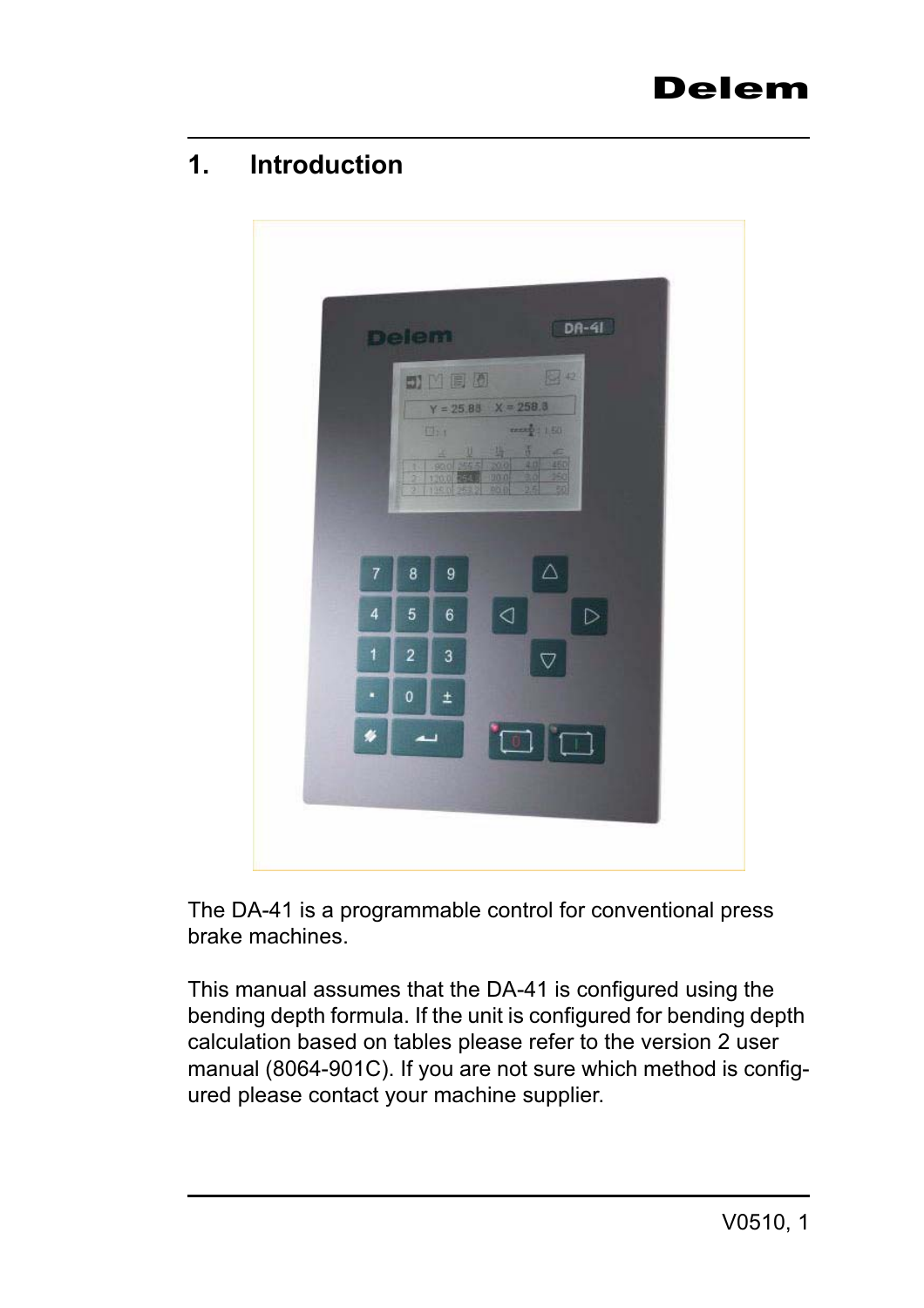## **1. Introduction**



The DA-41 is a programmable control for conventional press brake machines.

This manual assumes that the DA-41 is configured using the bending depth formula. If the unit is configured for bending depth calculation based on tables please refer to the version 2 user manual (8064-901C). If you are not sure which method is configured please contact your machine supplier.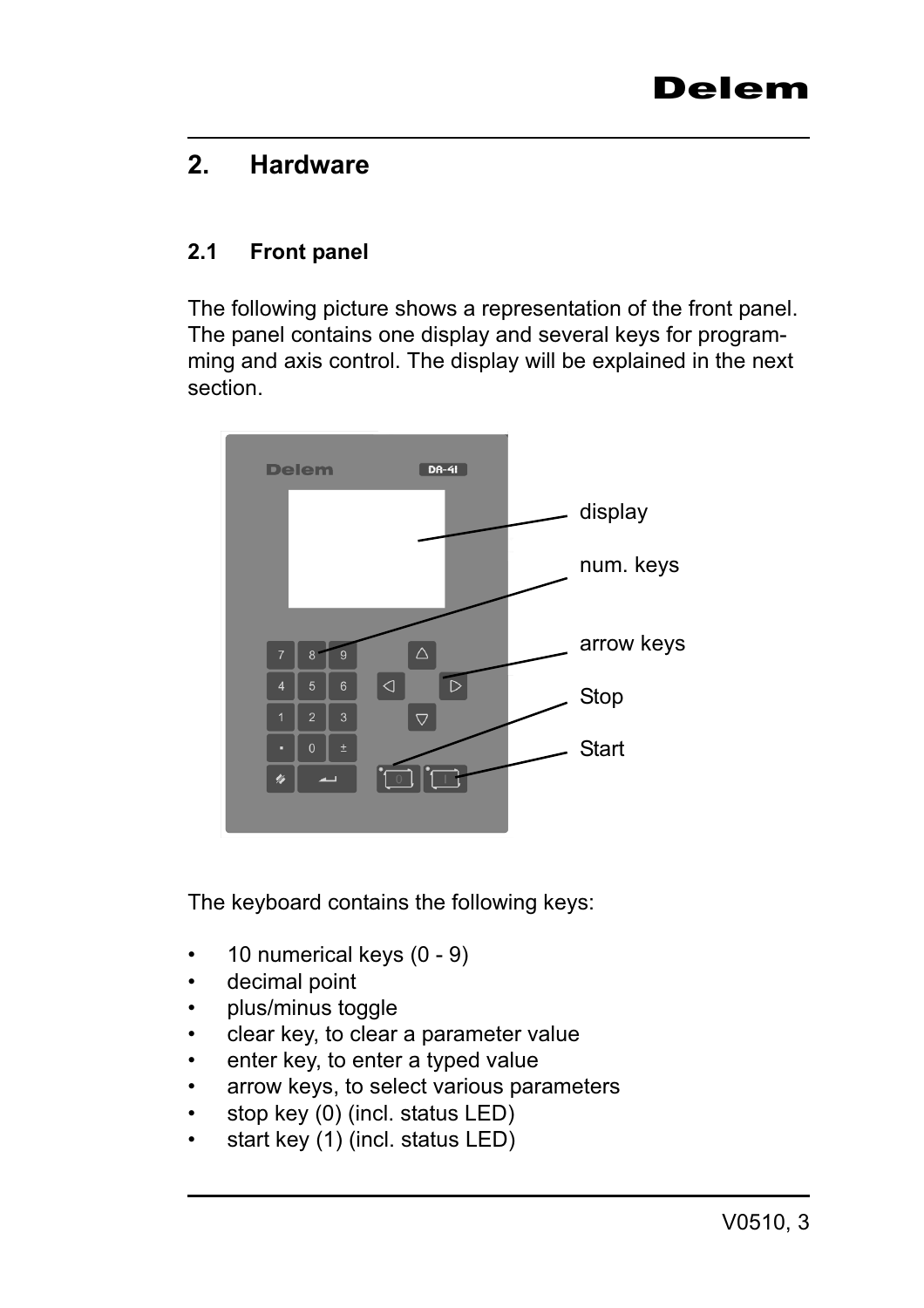## **2. Hardware**

#### **2.1 Front panel**

The following picture shows a representation of the front panel. The panel contains one display and several keys for programming and axis control. The display will be explained in the next section.



The keyboard contains the following keys:

- 10 numerical keys (0 9)
- decimal point
- plus/minus toggle
- clear key, to clear a parameter value
- enter key, to enter a typed value
- arrow keys, to select various parameters
- stop key (0) (incl. status LED)
- start key (1) (incl. status LED)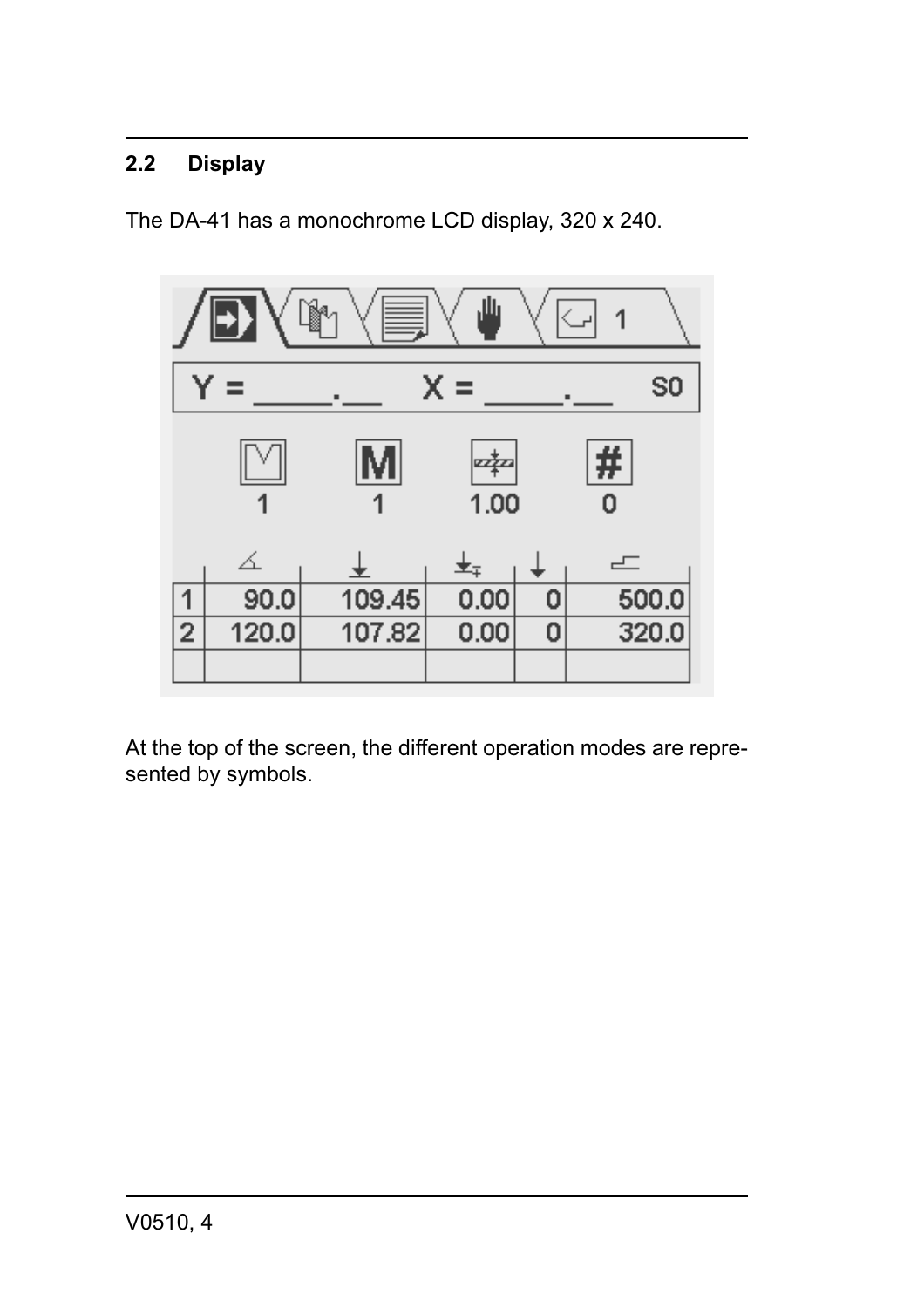## **2.2 Display**

The DA-41 has a monochrome LCD display, 320 x 240.



At the top of the screen, the different operation modes are represented by symbols.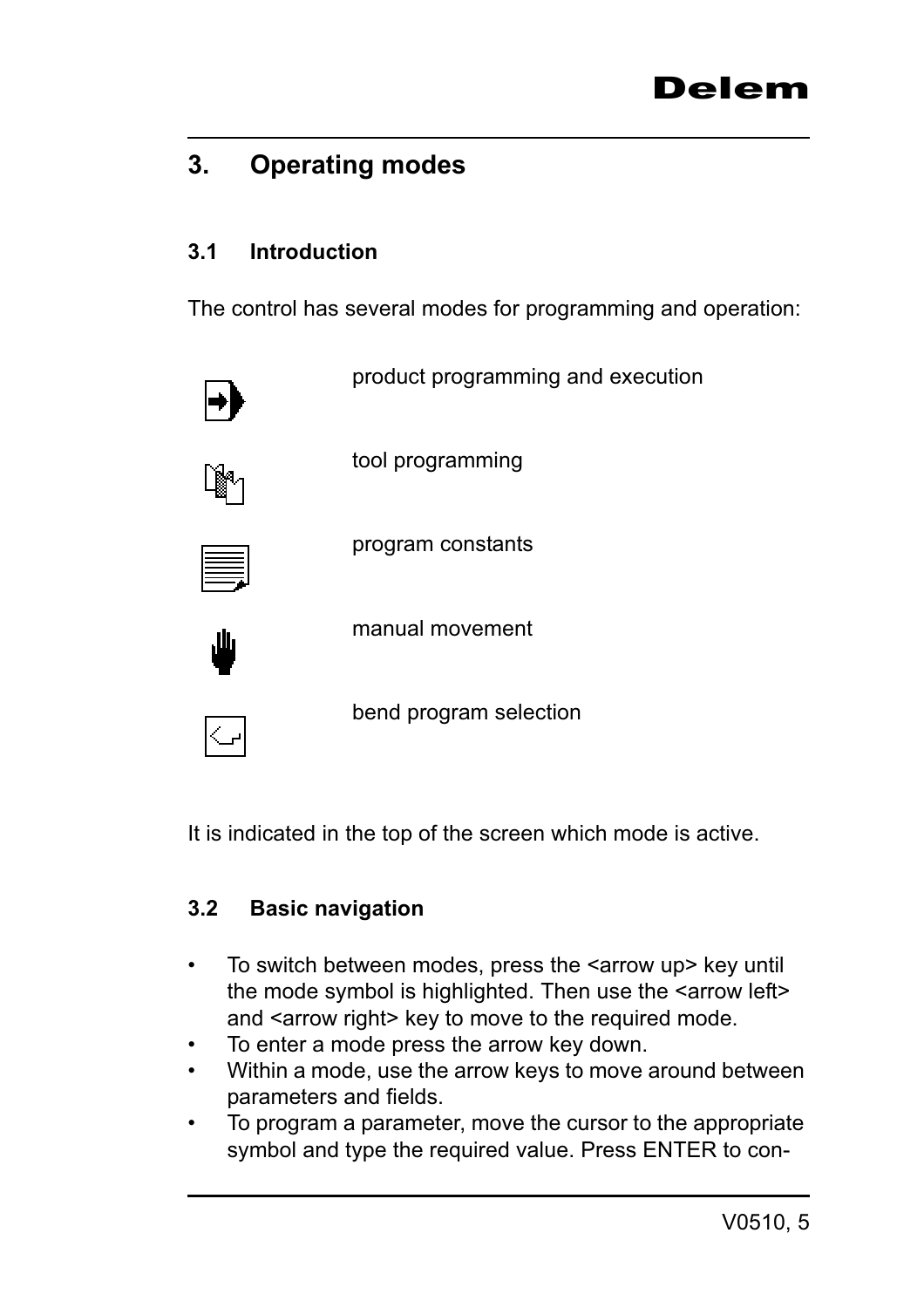## **3. Operating modes**

#### **3.1 Introduction**

The control has several modes for programming and operation:



It is indicated in the top of the screen which mode is active.

#### **3.2 Basic navigation**

- To switch between modes, press the <arrow up> key until the mode symbol is highlighted. Then use the  $\leq$  arrow left > and <arrow right> key to move to the required mode.
- To enter a mode press the arrow key down.
- Within a mode, use the arrow keys to move around between parameters and fields.
- To program a parameter, move the cursor to the appropriate symbol and type the required value. Press ENTER to con-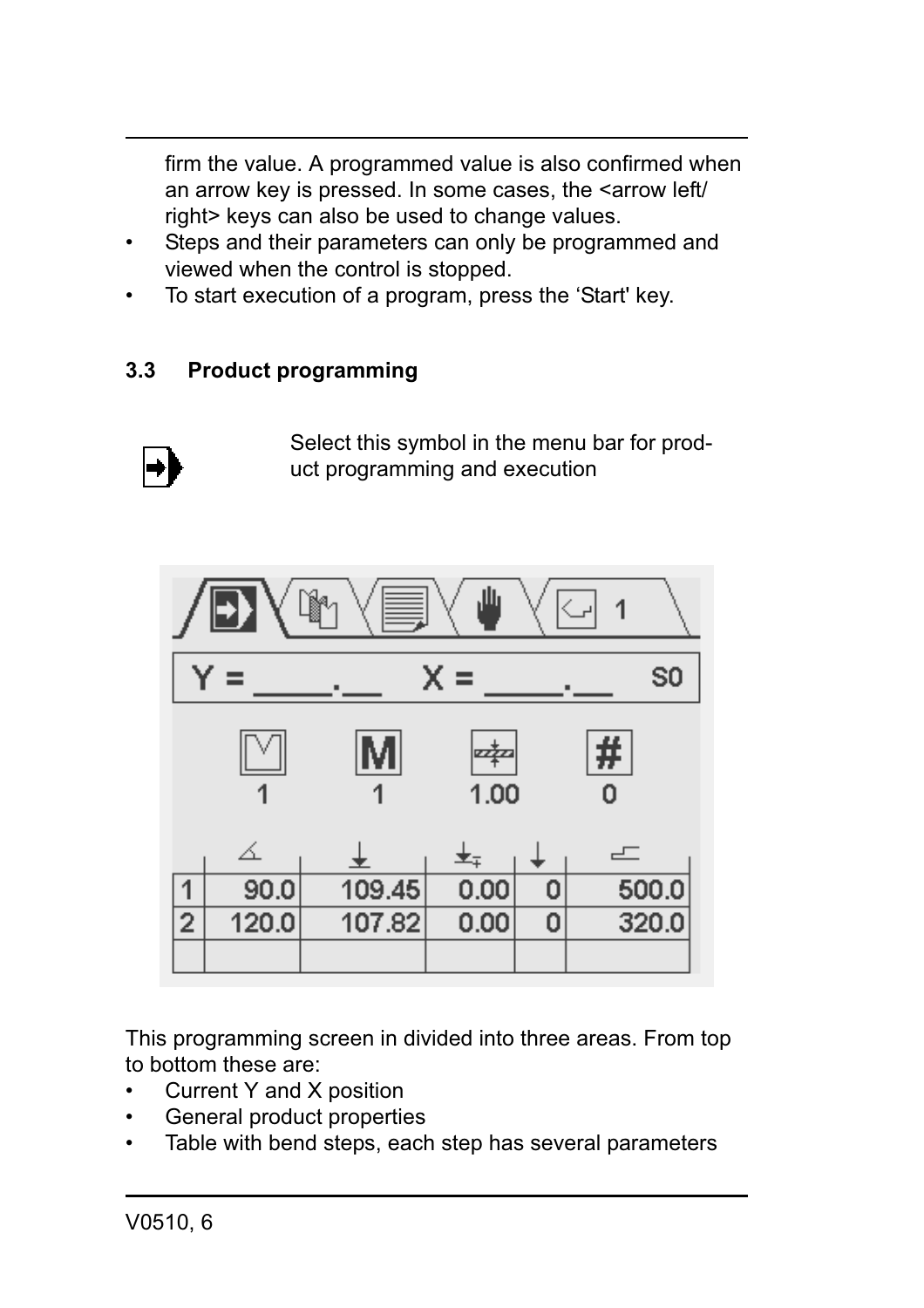firm the value. A programmed value is also confirmed when an arrow key is pressed. In some cases, the <arrow left/ right> keys can also be used to change values.

- Steps and their parameters can only be programmed and viewed when the control is stopped.
- To start execution of a program, press the 'Start' key.

## **3.3 Product programming**



Select this symbol in the menu bar for product programming and execution



This programming screen in divided into three areas. From top to bottom these are:

- Current Y and X position
- General product properties
- Table with bend steps, each step has several parameters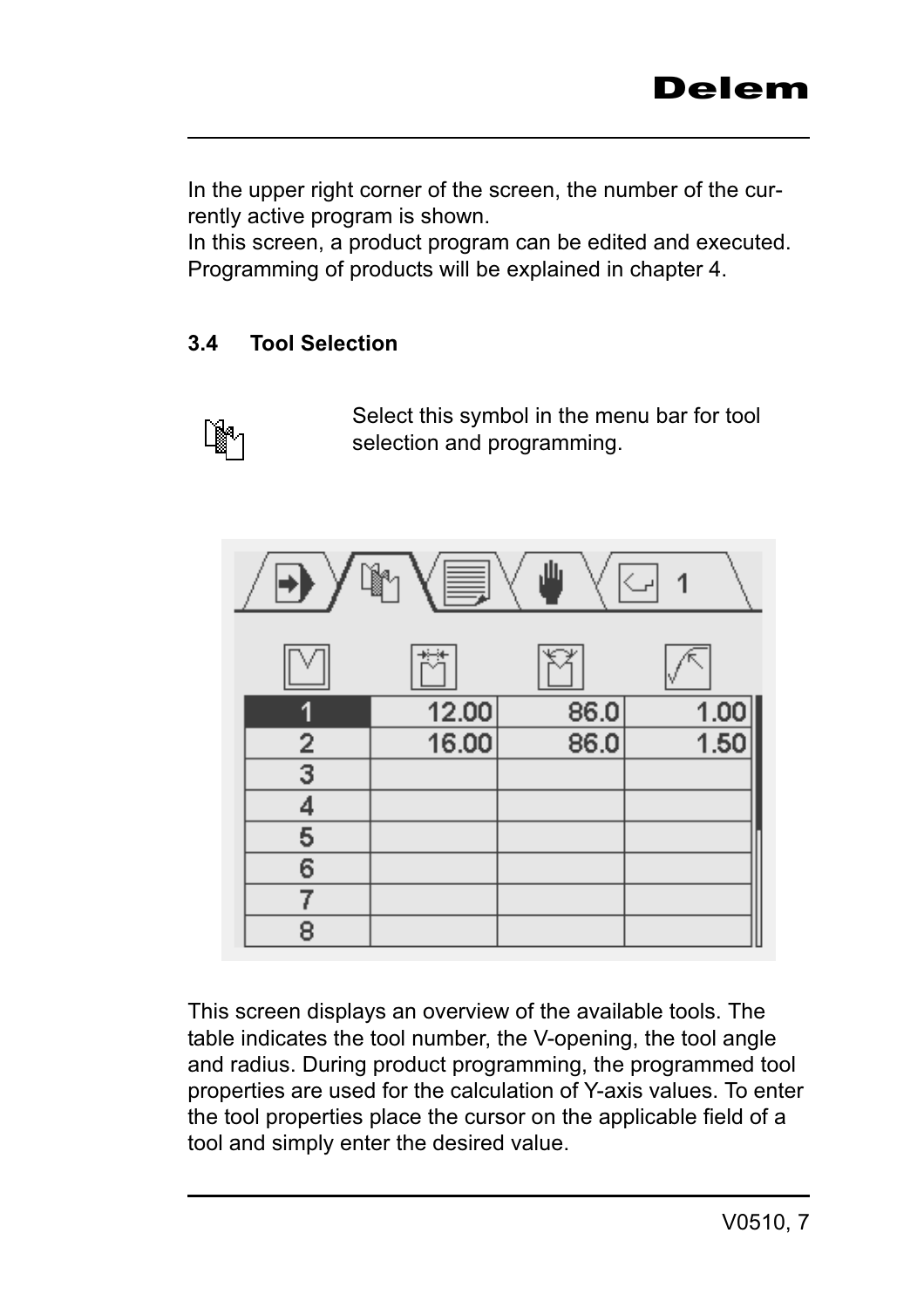In the upper right corner of the screen, the number of the currently active program is shown.

In this screen, a product program can be edited and executed. Programming of products will be explained in chapter 4.

#### **3.4 Tool Selection**



Select this symbol in the menu bar for tool selection and programming.



This screen displays an overview of the available tools. The table indicates the tool number, the V-opening, the tool angle and radius. During product programming, the programmed tool properties are used for the calculation of Y-axis values. To enter the tool properties place the cursor on the applicable field of a tool and simply enter the desired value.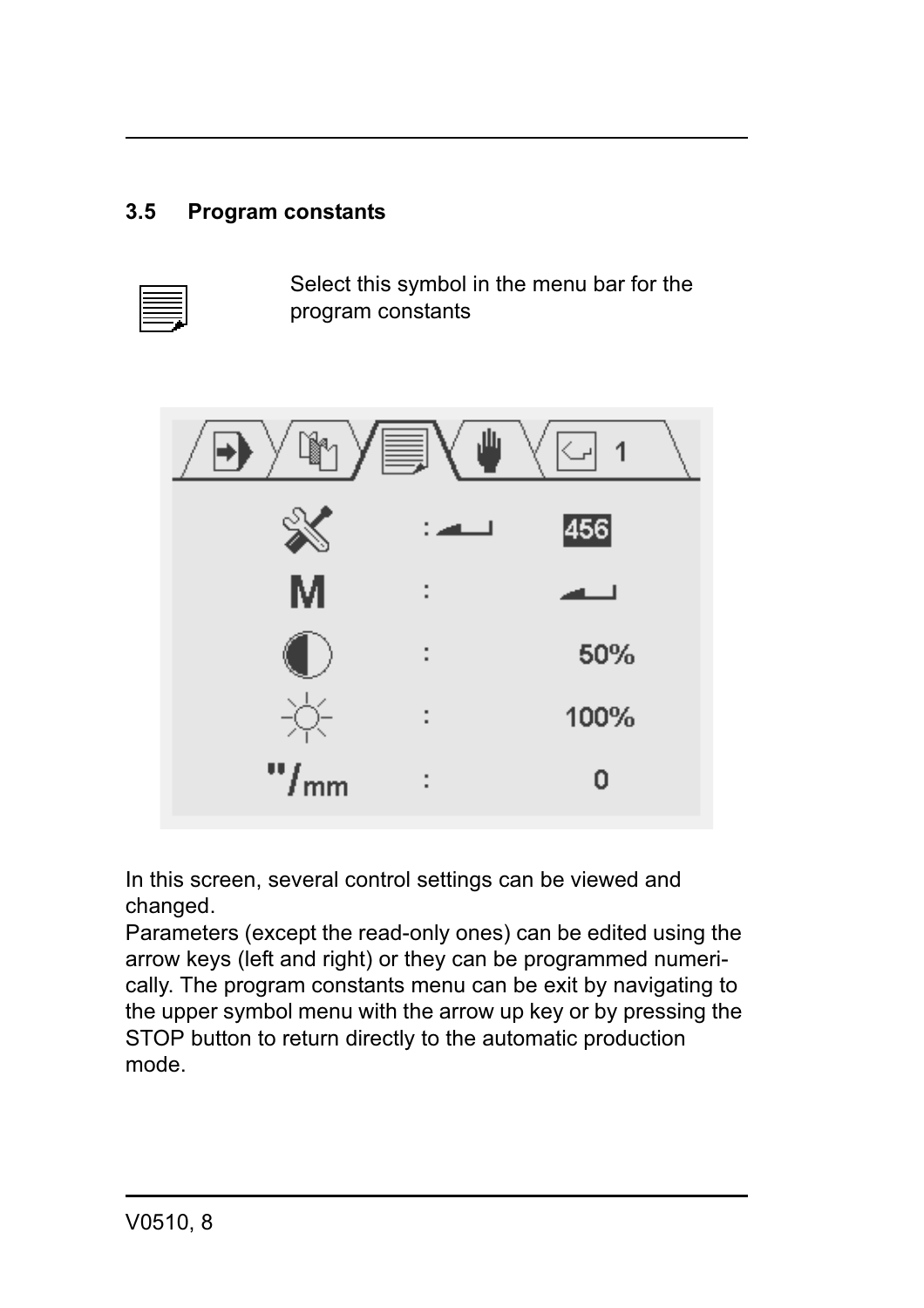## **3.5 Program constants**



Select this symbol in the menu bar for the program constants



In this screen, several control settings can be viewed and changed.

Parameters (except the read-only ones) can be edited using the arrow keys (left and right) or they can be programmed numerically. The program constants menu can be exit by navigating to the upper symbol menu with the arrow up key or by pressing the STOP button to return directly to the automatic production mode.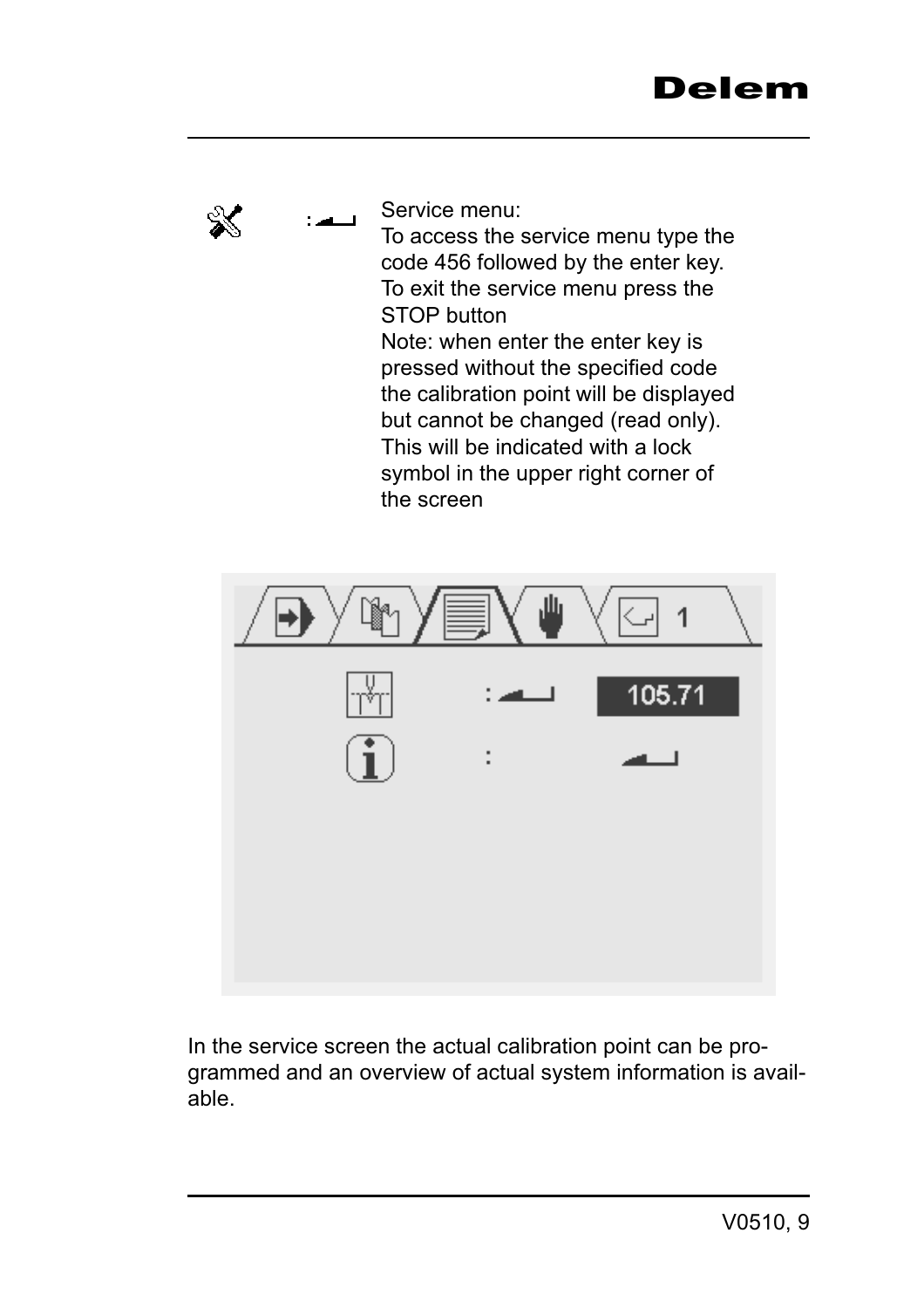

التناهيات

Service menu: To access the service menu type the code 456 followed by the enter key. To exit the service menu press the STOP button Note: when enter the enter key is pressed without the specified code the calibration point will be displayed but cannot be changed (read only). This will be indicated with a lock symbol in the upper right corner of the screen



In the service screen the actual calibration point can be programmed and an overview of actual system information is available.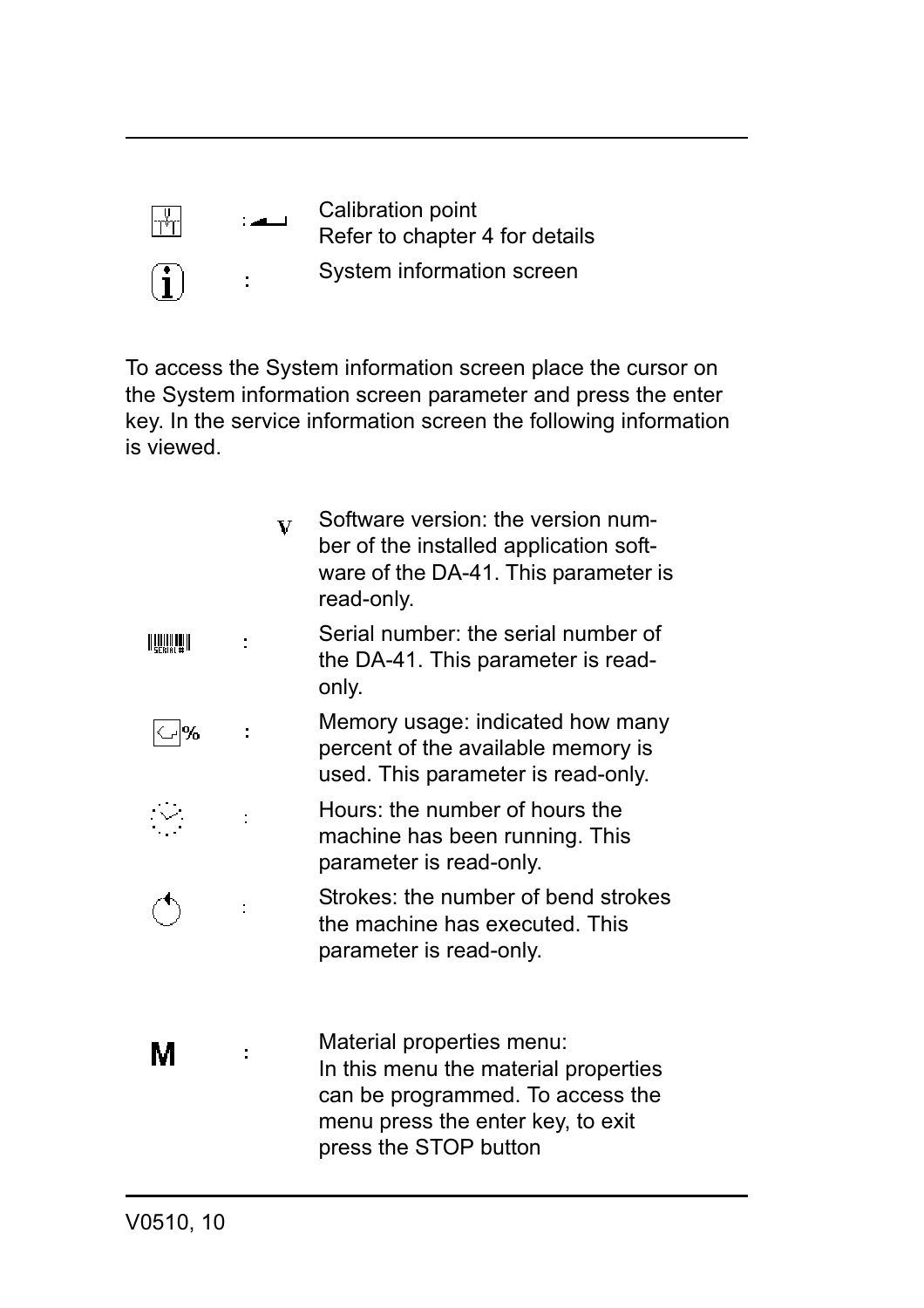

To access the System information screen place the cursor on the System information screen parameter and press the enter key. In the service information screen the following information is viewed.

|               | V | Software version: the version num-<br>ber of the installed application soft-<br>ware of the DA-41. This parameter is<br>read-only.                                  |
|---------------|---|---------------------------------------------------------------------------------------------------------------------------------------------------------------------|
| $\frac{1}{2}$ |   | Serial number: the serial number of<br>the DA-41. This parameter is read-<br>only.                                                                                  |
| י⁄9∣          |   | Memory usage: indicated how many<br>percent of the available memory is<br>used. This parameter is read-only.                                                        |
|               |   | Hours: the number of hours the<br>machine has been running. This<br>parameter is read-only.                                                                         |
|               |   | Strokes: the number of bend strokes<br>the machine has executed. This<br>parameter is read-only.                                                                    |
| м             |   | Material properties menu:<br>In this menu the material properties<br>can be programmed. To access the<br>menu press the enter key, to exit<br>press the STOP button |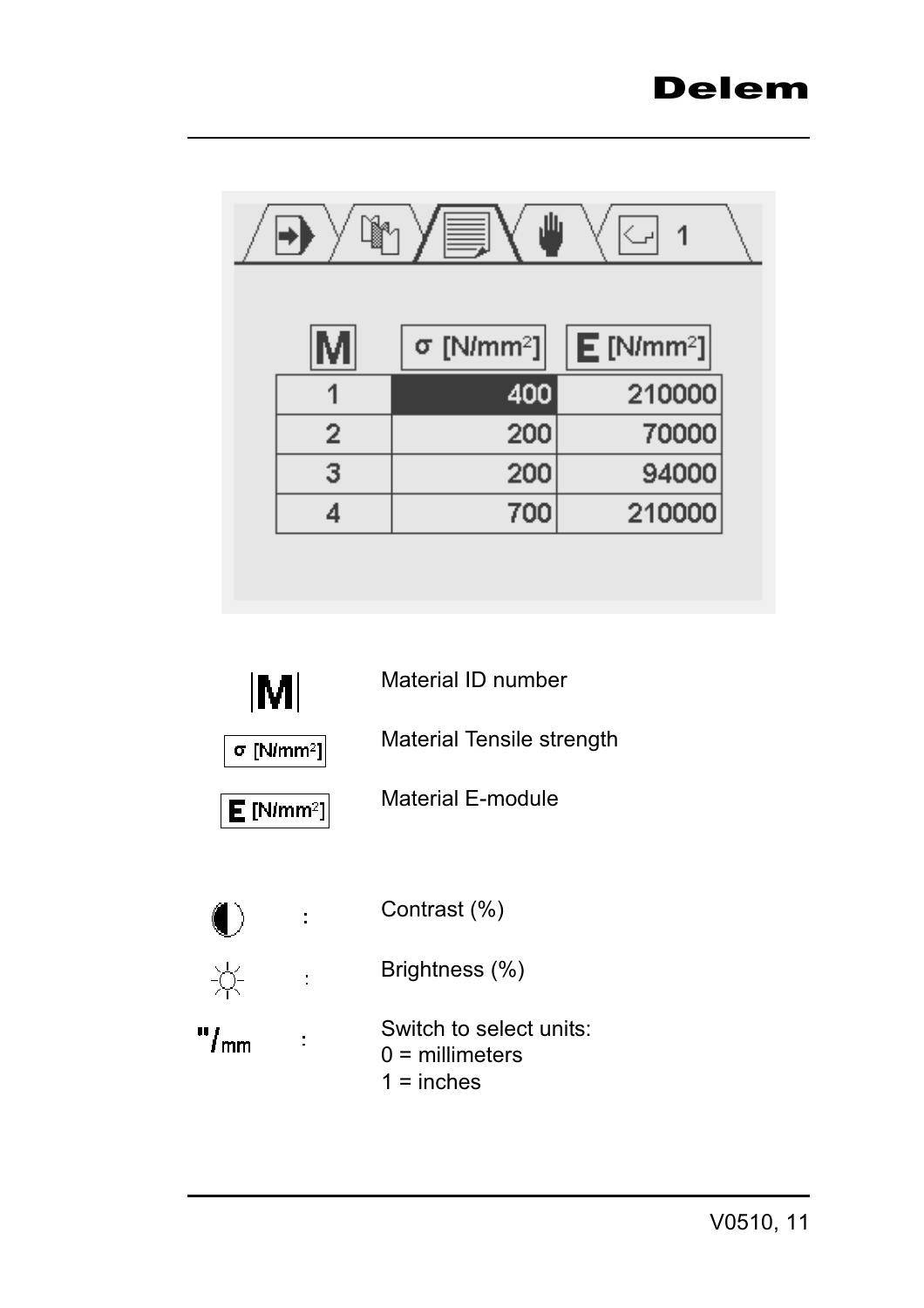

| ΙMΙ                                                   |   | Material ID number                                           |
|-------------------------------------------------------|---|--------------------------------------------------------------|
| $\sigma$ [N/mm <sup>2</sup> ]                         |   | Material Tensile strength                                    |
| $\left \mathsf{E}\left[\mathsf{N/mm^2}\right]\right $ |   | <b>Material E-module</b>                                     |
|                                                       | ÷ | Contrast (%)                                                 |
|                                                       | İ | Brightness (%)                                               |
| $^\prime\prime$ mm                                    |   | Switch to select units:<br>$0 =$ millimeters<br>$1 =$ inches |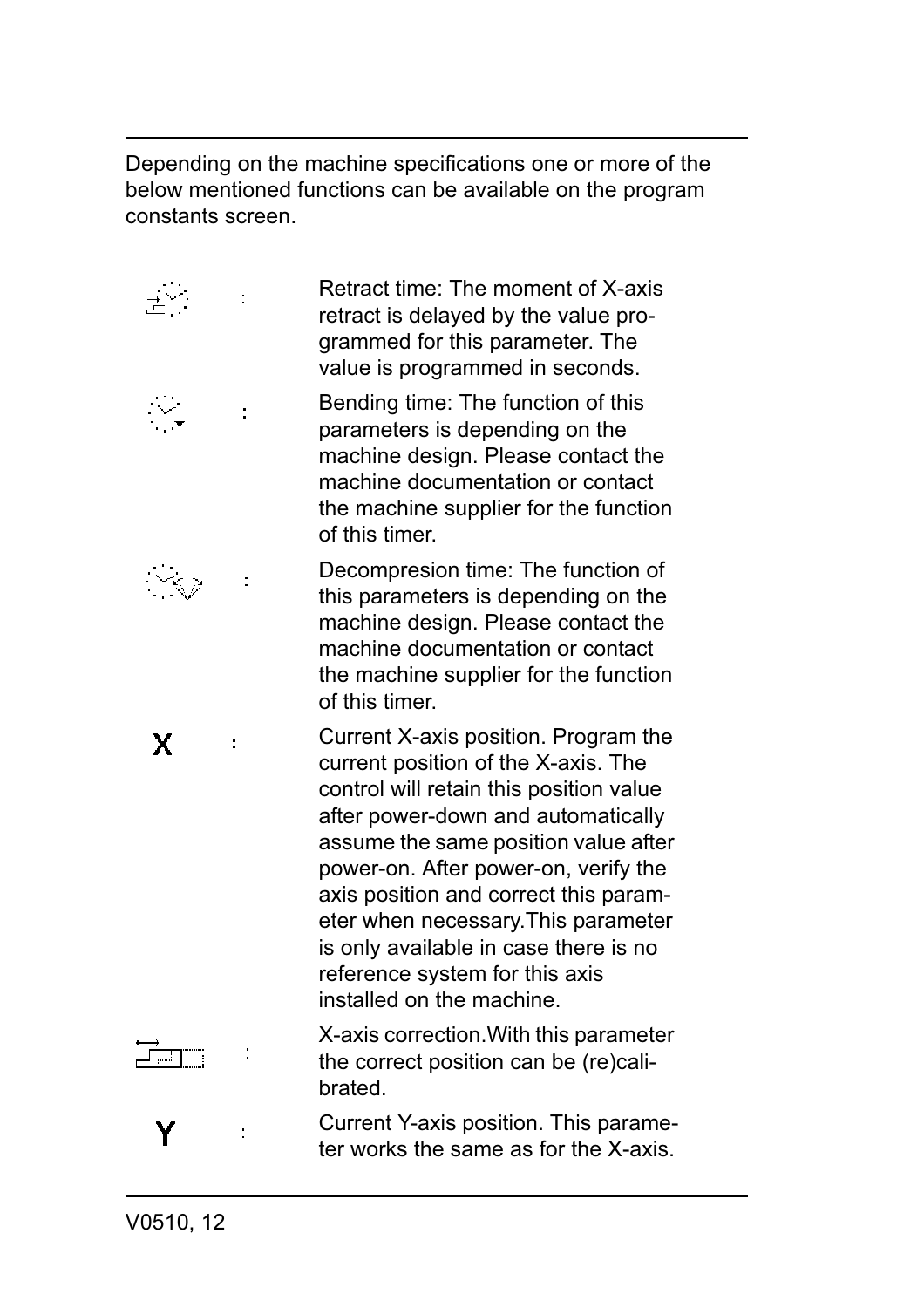Depending on the machine specifications one or more of the below mentioned functions can be available on the program constants screen.

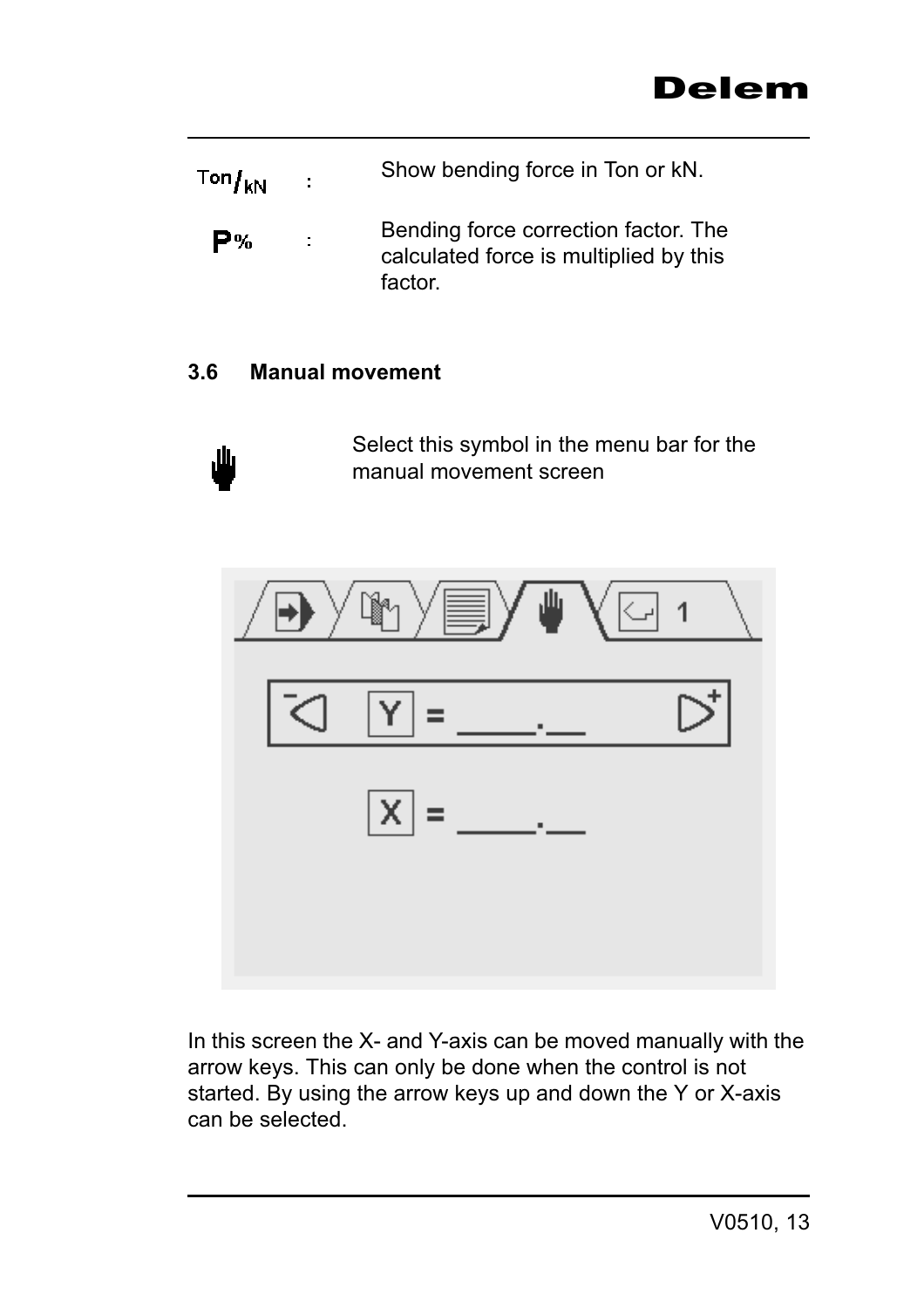

Show bending force in Ton or kN. Ton $f_{kN}$ ÷

Bending force correction factor. The  $P%$ ÷ calculated force is multiplied by this factor.

#### **3.6 Manual movement**



Select this symbol in the menu bar for the manual movement screen



In this screen the X- and Y-axis can be moved manually with the arrow keys. This can only be done when the control is not started. By using the arrow keys up and down the Y or X-axis can be selected.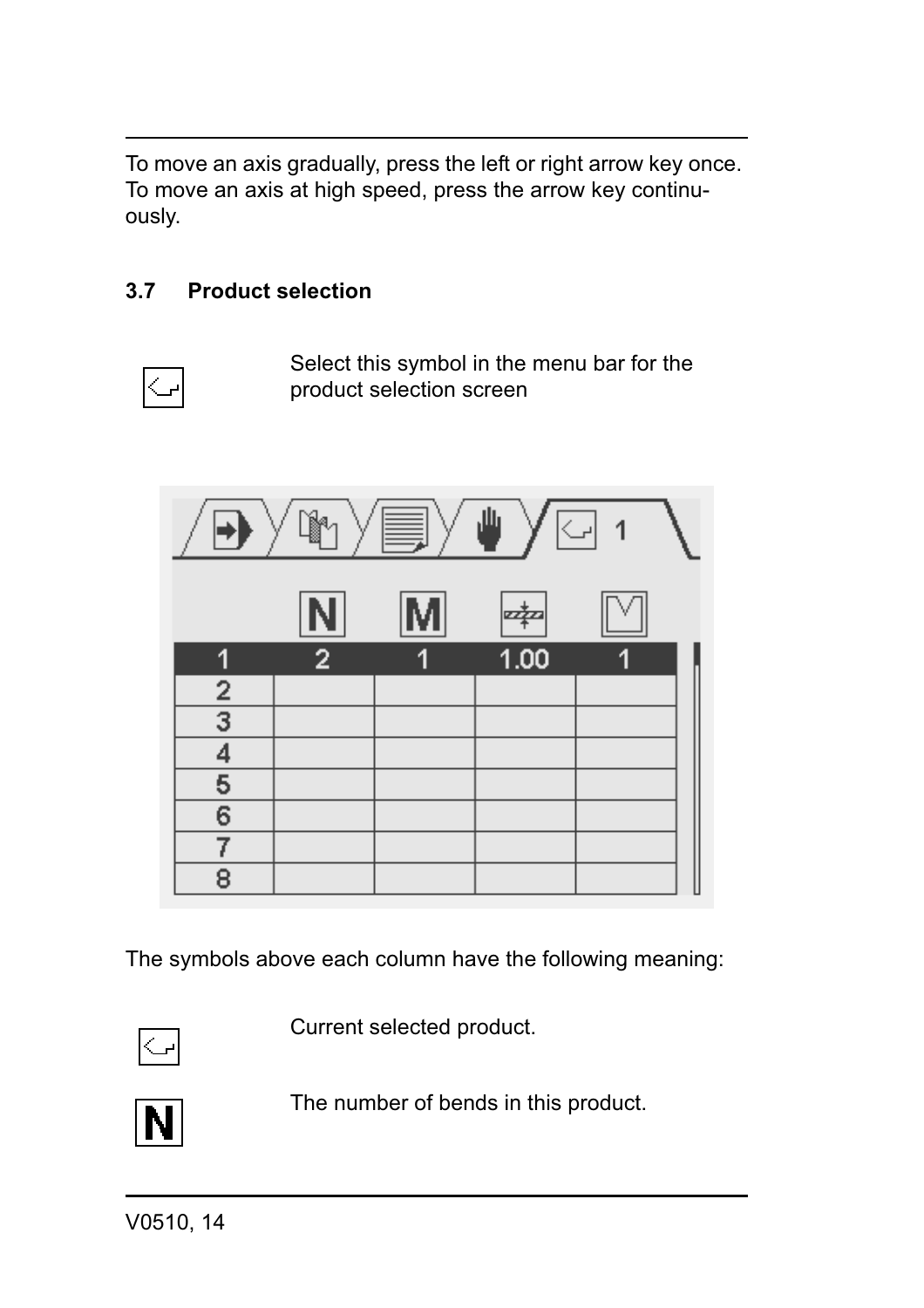To move an axis gradually, press the left or right arrow key once. To move an axis at high speed, press the arrow key continuously.

### **3.7 Product selection**



Select this symbol in the menu bar for the product selection screen



The symbols above each column have the following meaning:



Current selected product.



The number of bends in this product.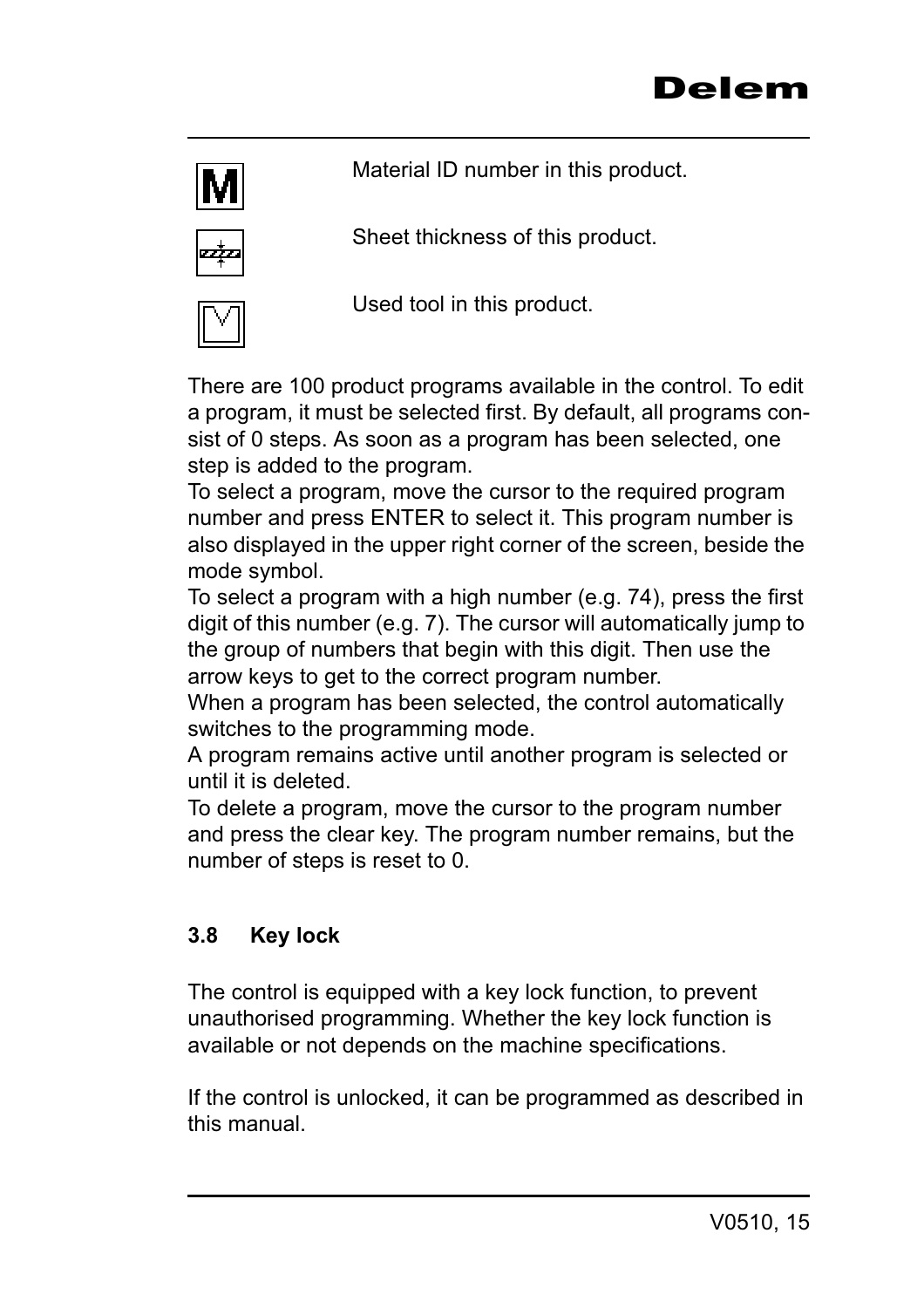Material ID number in this product.

Sheet thickness of this product.



Used tool in this product.

There are 100 product programs available in the control. To edit a program, it must be selected first. By default, all programs consist of 0 steps. As soon as a program has been selected, one step is added to the program.

To select a program, move the cursor to the required program number and press ENTER to select it. This program number is also displayed in the upper right corner of the screen, beside the mode symbol.

To select a program with a high number (e.g. 74), press the first digit of this number (e.g. 7). The cursor will automatically jump to the group of numbers that begin with this digit. Then use the arrow keys to get to the correct program number.

When a program has been selected, the control automatically switches to the programming mode.

A program remains active until another program is selected or until it is deleted.

To delete a program, move the cursor to the program number and press the clear key. The program number remains, but the number of steps is reset to 0.

## **3.8 Key lock**

The control is equipped with a key lock function, to prevent unauthorised programming. Whether the key lock function is available or not depends on the machine specifications.

If the control is unlocked, it can be programmed as described in this manual.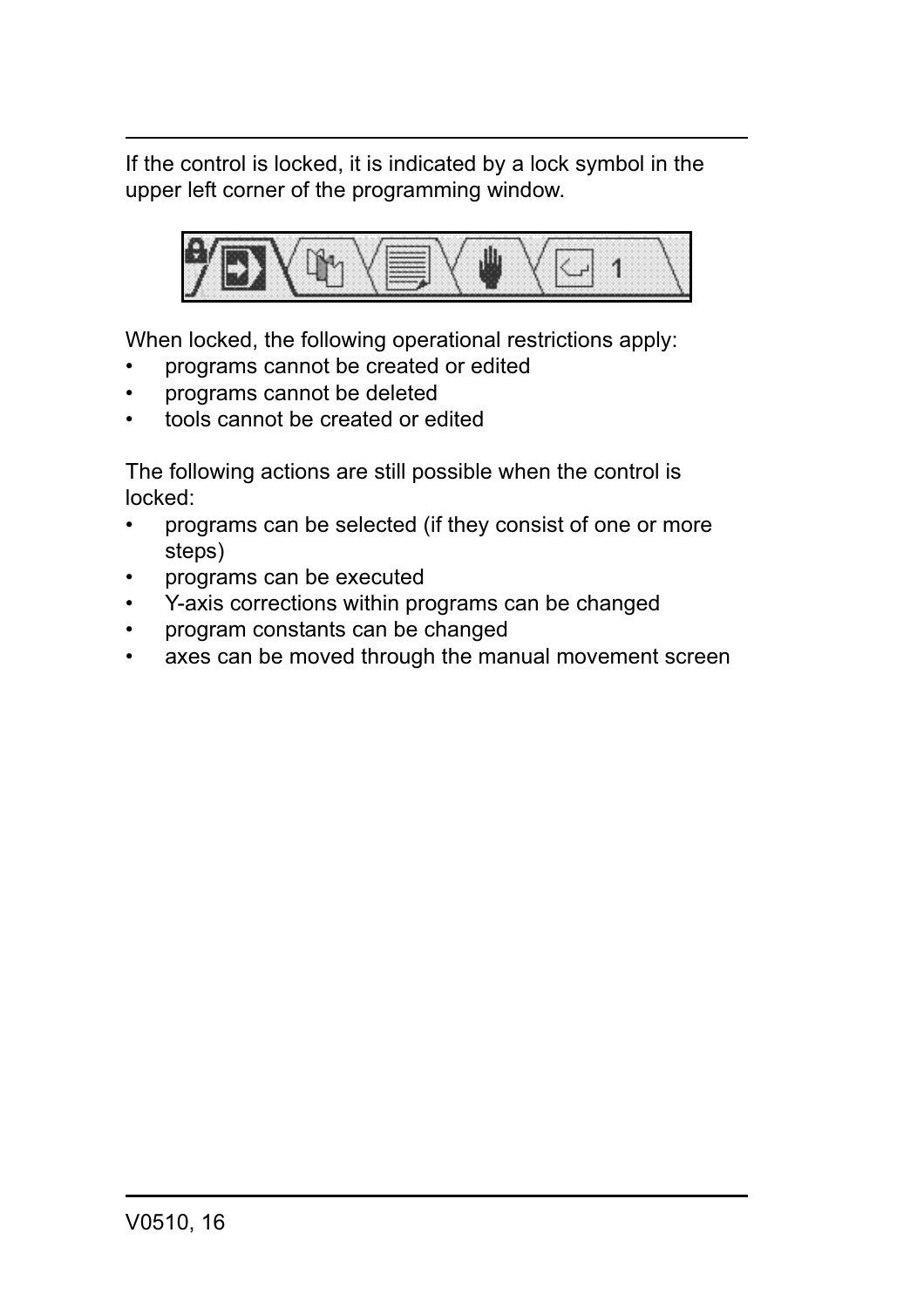If the control is locked, it is indicated by a lock symbol in the upper left corner of the programming window.



When locked, the following operational restrictions apply:

- programs cannot be created or edited
- programs cannot be deleted
- tools cannot be created or edited

The following actions are still possible when the control is locked:

- programs can be selected (if they consist of one or more steps)
- programs can be executed
- Y-axis corrections within programs can be changed
- program constants can be changed
- axes can be moved through the manual movement screen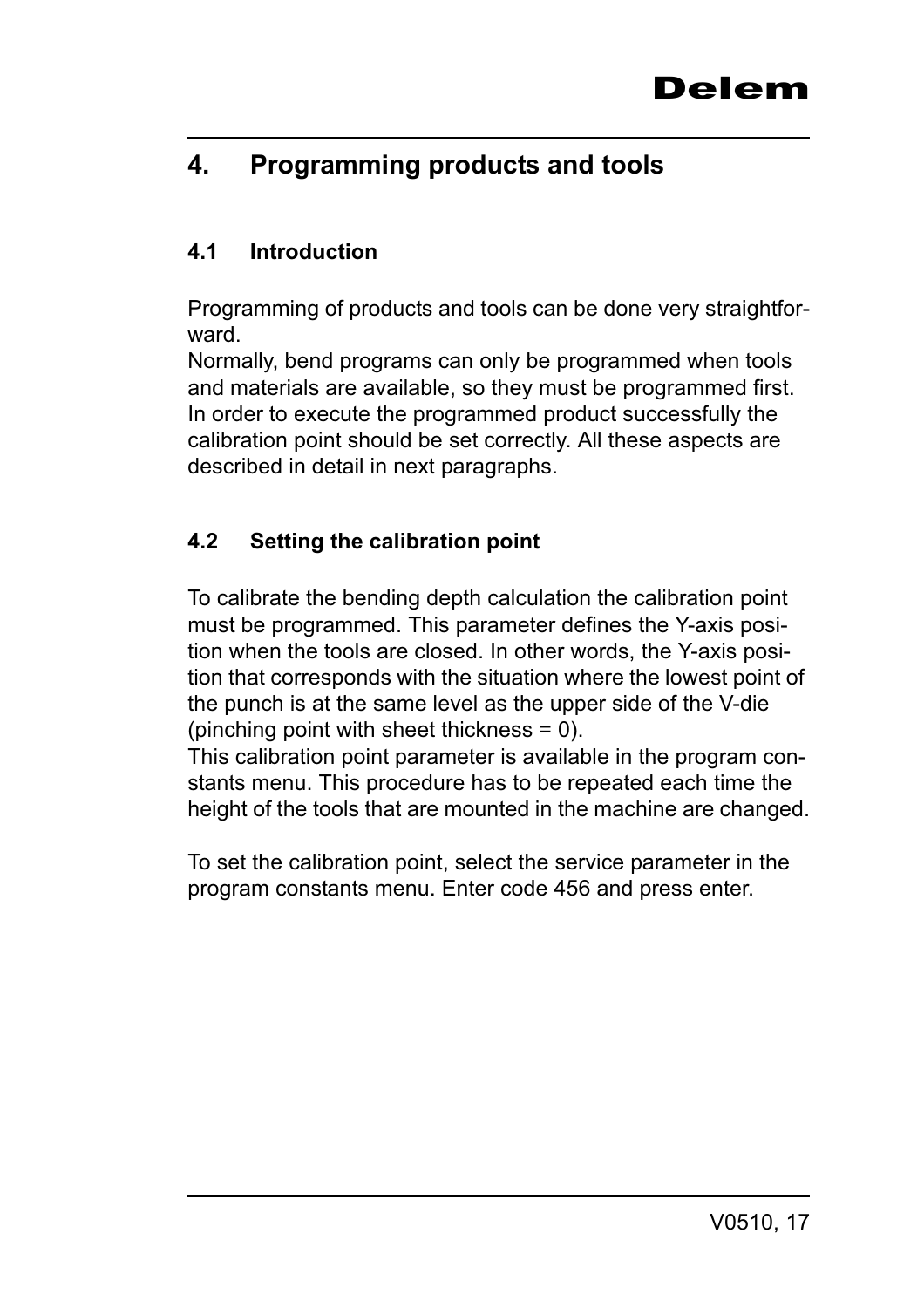## **4. Programming products and tools**

#### **4.1 Introduction**

Programming of products and tools can be done very straightforward.

Normally, bend programs can only be programmed when tools and materials are available, so they must be programmed first. In order to execute the programmed product successfully the calibration point should be set correctly. All these aspects are described in detail in next paragraphs.

#### **4.2 Setting the calibration point**

To calibrate the bending depth calculation the calibration point must be programmed. This parameter defines the Y-axis position when the tools are closed. In other words, the Y-axis position that corresponds with the situation where the lowest point of the punch is at the same level as the upper side of the V-die (pinching point with sheet thickness = 0).

This calibration point parameter is available in the program constants menu. This procedure has to be repeated each time the height of the tools that are mounted in the machine are changed.

To set the calibration point, select the service parameter in the program constants menu. Enter code 456 and press enter.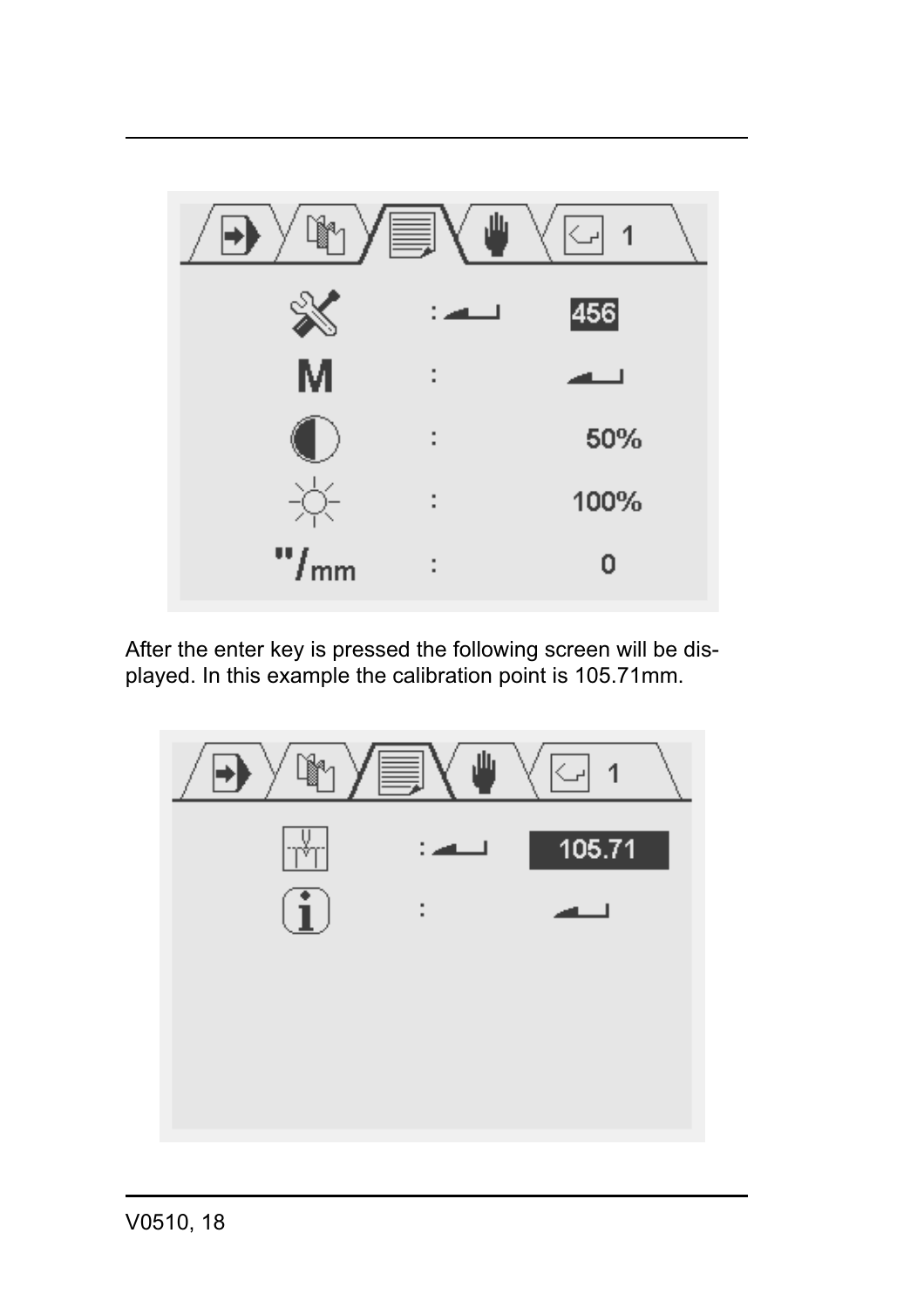

After the enter key is pressed the following screen will be displayed. In this example the calibration point is 105.71mm.

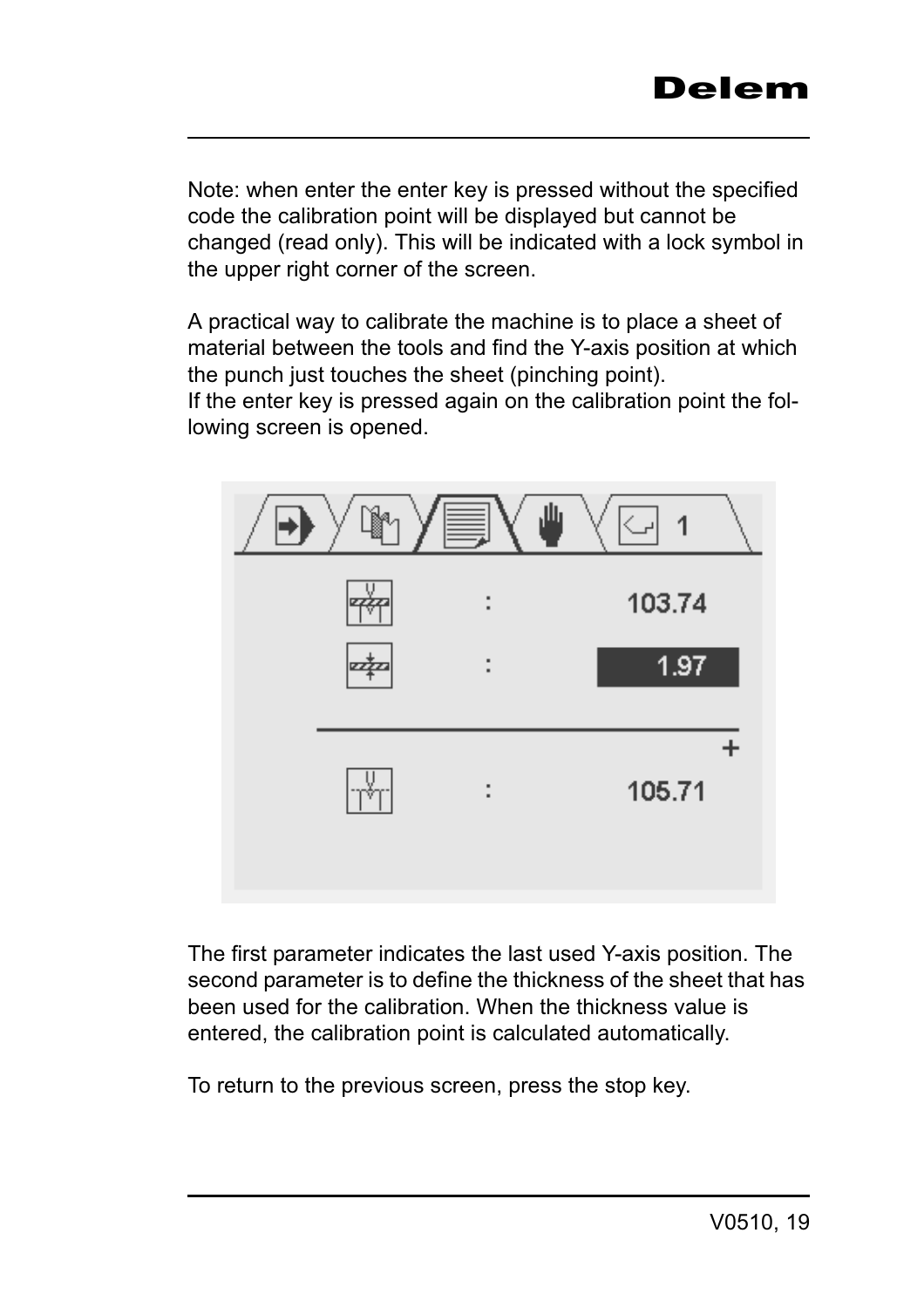Note: when enter the enter key is pressed without the specified code the calibration point will be displayed but cannot be changed (read only). This will be indicated with a lock symbol in the upper right corner of the screen.

A practical way to calibrate the machine is to place a sheet of material between the tools and find the Y-axis position at which the punch just touches the sheet (pinching point).

If the enter key is pressed again on the calibration point the following screen is opened.



The first parameter indicates the last used Y-axis position. The second parameter is to define the thickness of the sheet that has been used for the calibration. When the thickness value is entered, the calibration point is calculated automatically.

To return to the previous screen, press the stop key.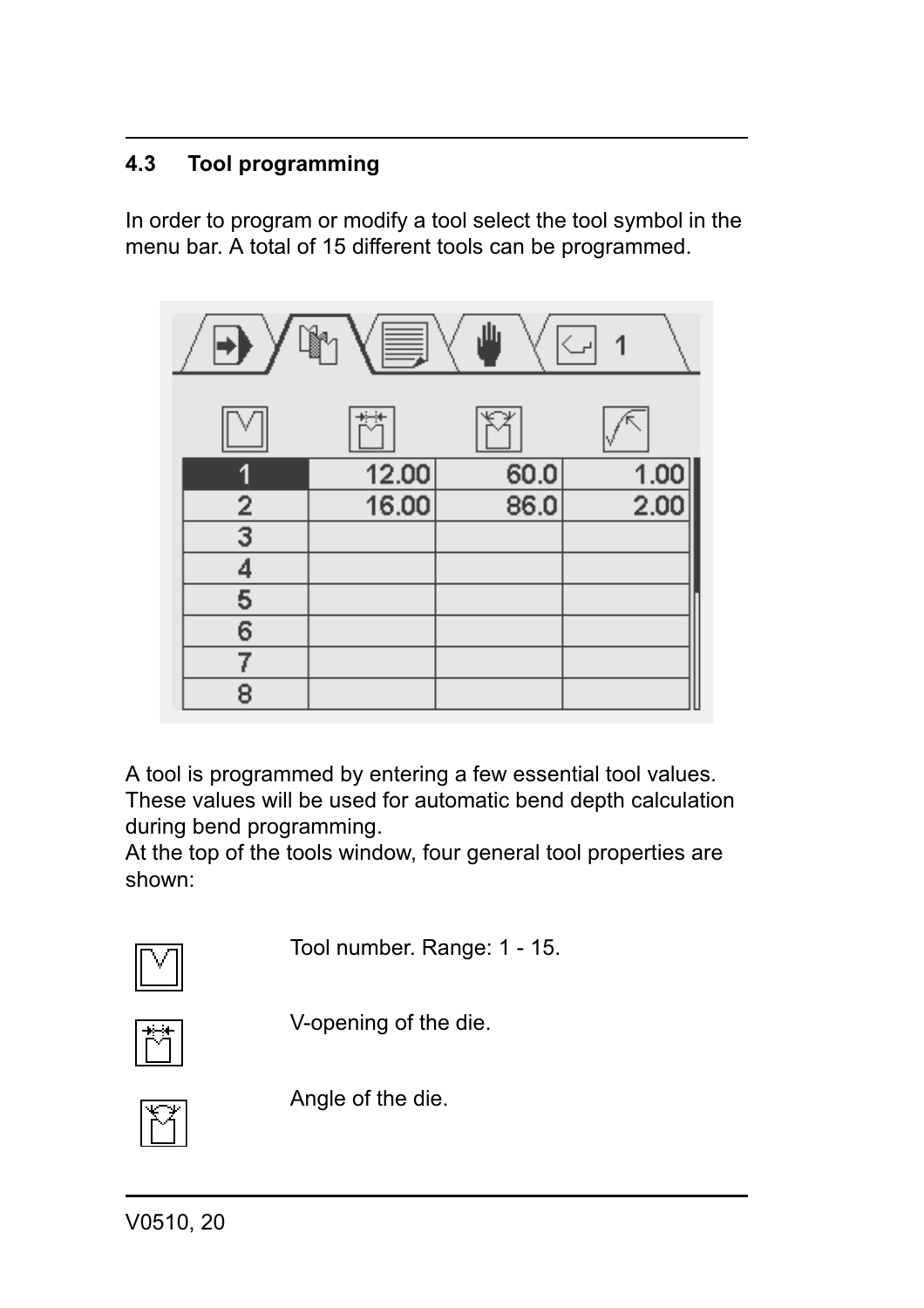## **4.3 Tool programming**

In order to program or modify a tool select the tool symbol in the menu bar. A total of 15 different tools can be programmed.



A tool is programmed by entering a few essential tool values. These values will be used for automatic bend depth calculation during bend programming.

At the top of the tools window, four general tool properties are shown:

Tool number. Range: 1 - 15.



V-opening of the die.



Angle of the die.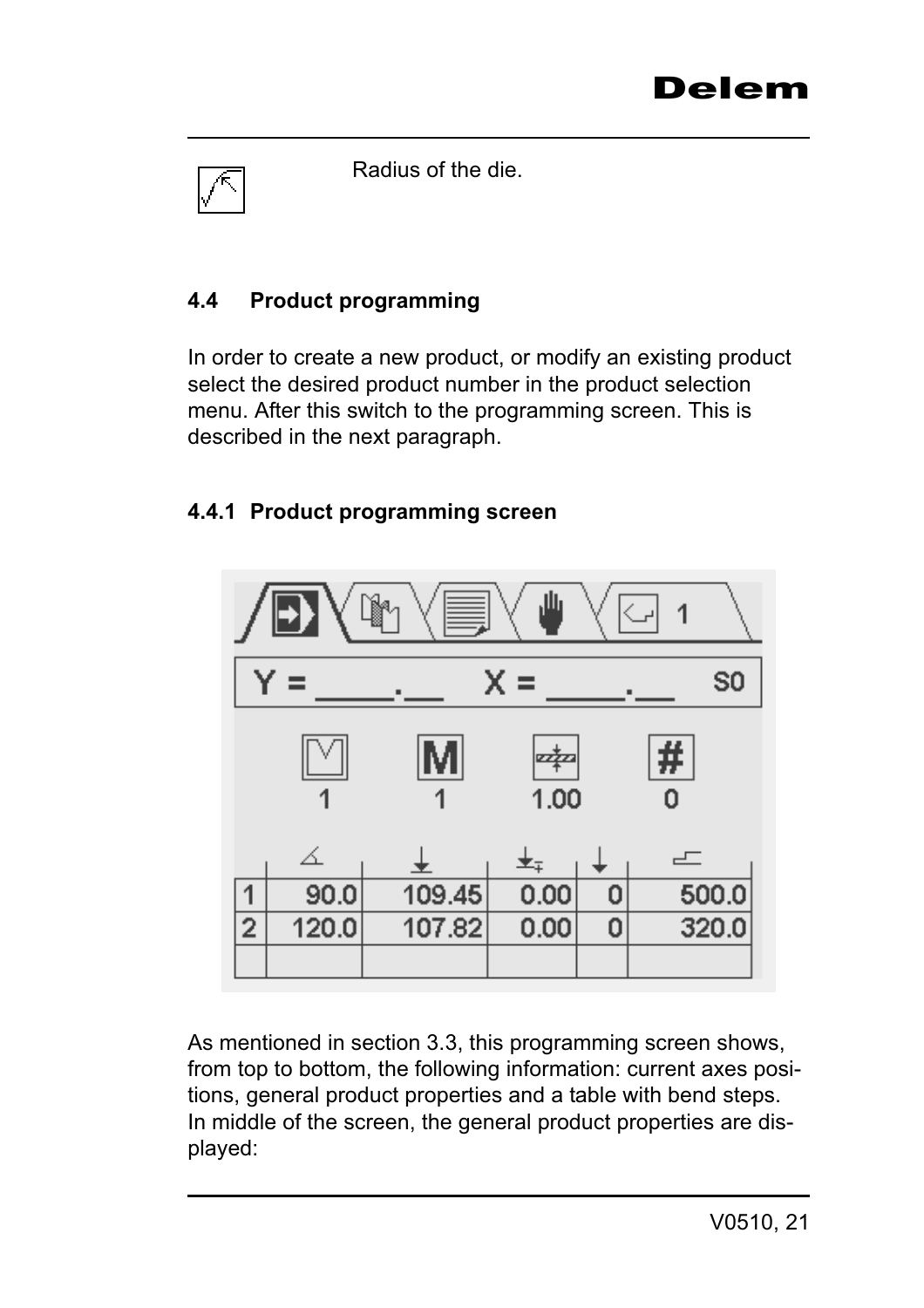Radius of the die.



## **4.4 Product programming**

In order to create a new product, or modify an existing product select the desired product number in the product selection menu. After this switch to the programming screen. This is described in the next paragraph.

#### **4.4.1 Product programming screen**



As mentioned in section 3.3, this programming screen shows, from top to bottom, the following information: current axes positions, general product properties and a table with bend steps. In middle of the screen, the general product properties are displayed: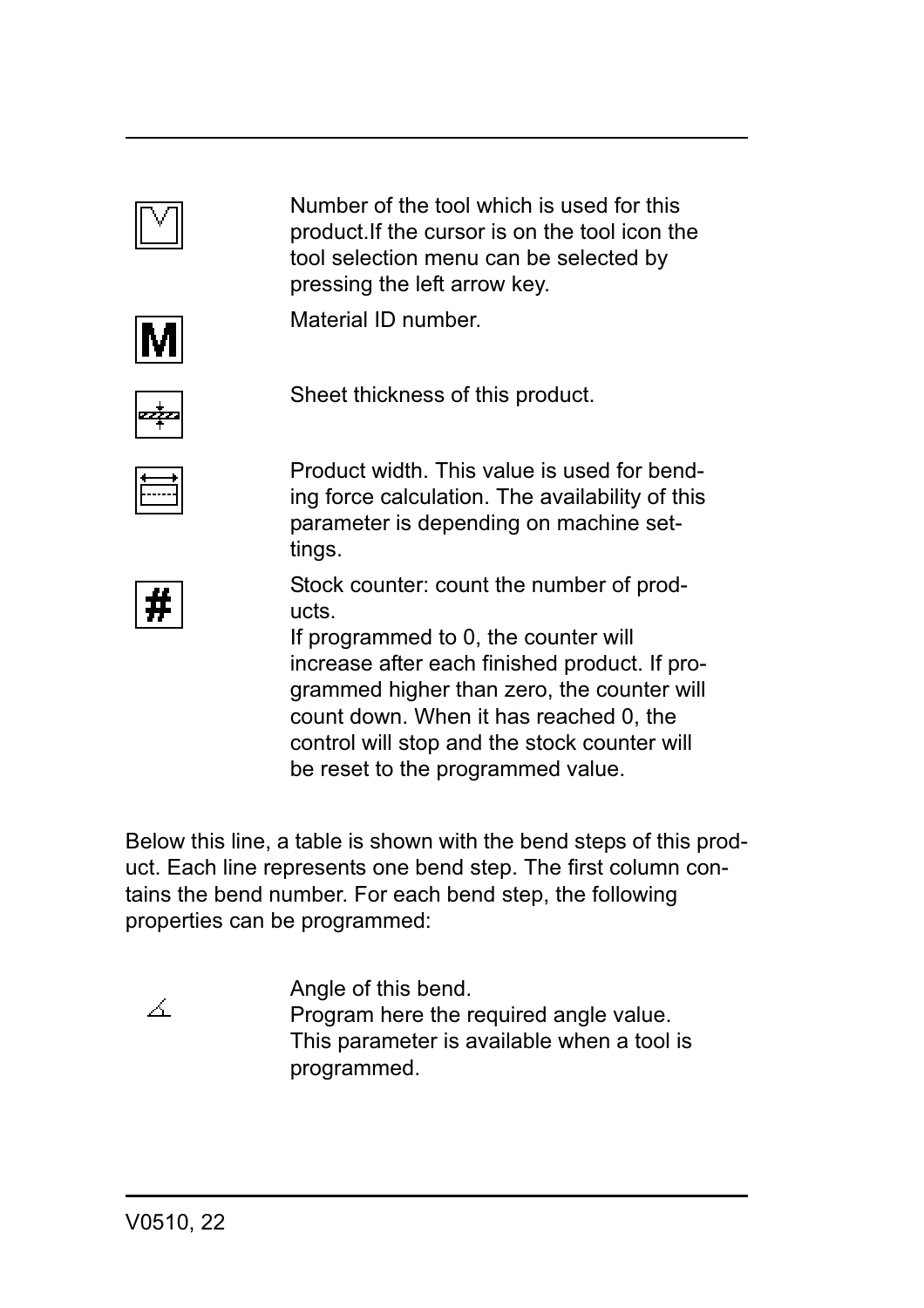

Number of the tool which is used for this product.If the cursor is on the tool icon the tool selection menu can be selected by pressing the left arrow key.

Material ID number.



M

Sheet thickness of this product.



Product width. This value is used for bending force calculation. The availability of this parameter is depending on machine settings.



Stock counter: count the number of products.

If programmed to 0, the counter will increase after each finished product. If programmed higher than zero, the counter will count down. When it has reached 0, the control will stop and the stock counter will be reset to the programmed value.

Below this line, a table is shown with the bend steps of this product. Each line represents one bend step. The first column contains the bend number. For each bend step, the following properties can be programmed:

Angle of this bend.

 $\mathcal{L}_{\mathbb{C}}$ Program here the required angle value. This parameter is available when a tool is programmed.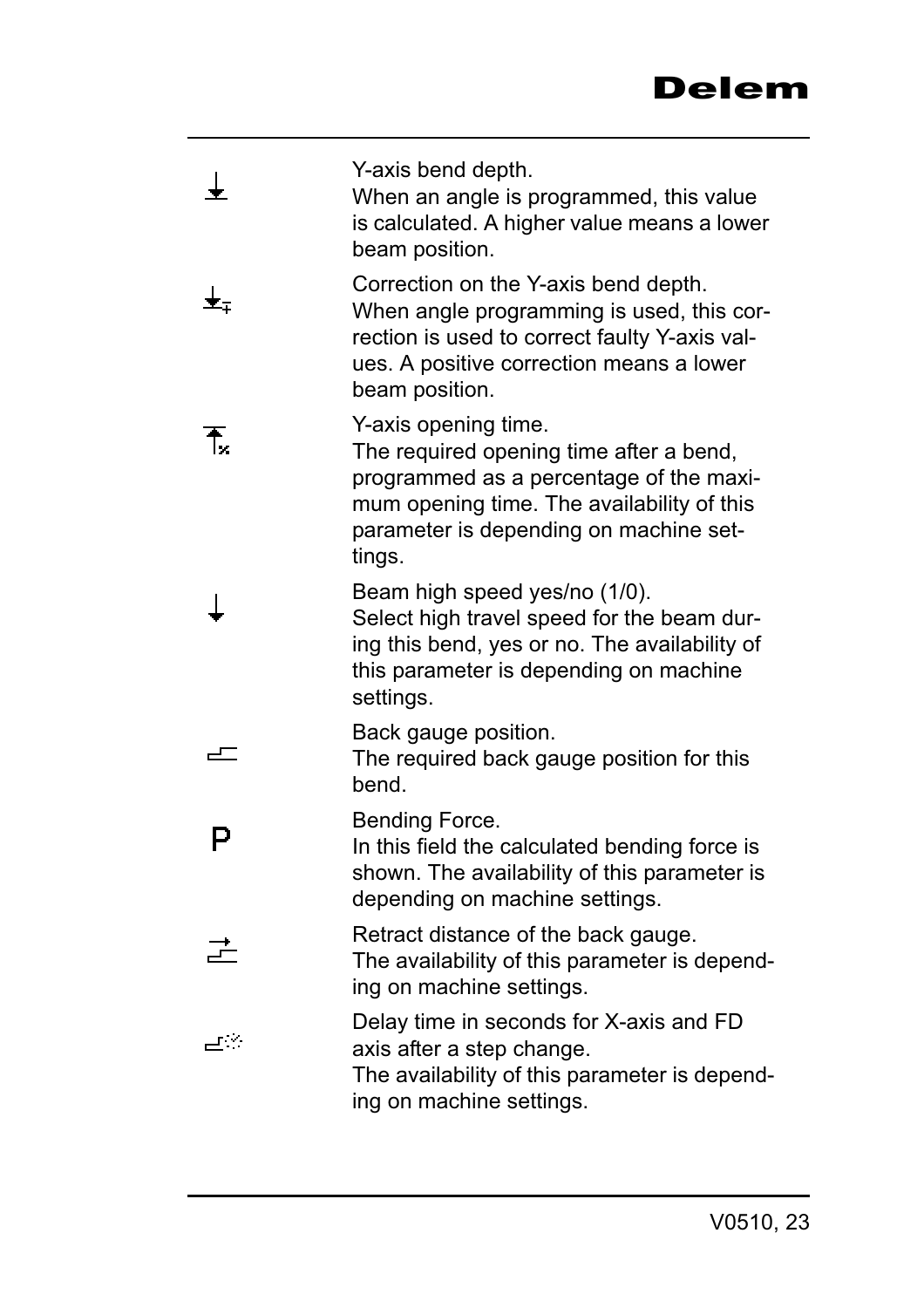|    | Y-axis bend depth.<br>When an angle is programmed, this value<br>is calculated. A higher value means a lower<br>beam position.                                                                               |
|----|--------------------------------------------------------------------------------------------------------------------------------------------------------------------------------------------------------------|
| 士, | Correction on the Y-axis bend depth.<br>When angle programming is used, this cor-<br>rection is used to correct faulty Y-axis val-<br>ues. A positive correction means a lower<br>beam position.             |
| Ţ. | Y-axis opening time.<br>The required opening time after a bend,<br>programmed as a percentage of the maxi-<br>mum opening time. The availability of this<br>parameter is depending on machine set-<br>tings. |
|    | Beam high speed yes/no (1/0).<br>Select high travel speed for the beam dur-<br>ing this bend, yes or no. The availability of<br>this parameter is depending on machine<br>settings.                          |
|    | Back gauge position.<br>The required back gauge position for this<br>bend.                                                                                                                                   |
|    | Bending Force.<br>In this field the calculated bending force is<br>shown. The availability of this parameter is<br>depending on machine settings.                                                            |
|    | Retract distance of the back gauge.<br>The availability of this parameter is depend-<br>ing on machine settings.                                                                                             |
| 工业 | Delay time in seconds for X-axis and FD<br>axis after a step change.<br>The availability of this parameter is depend-<br>ing on machine settings.                                                            |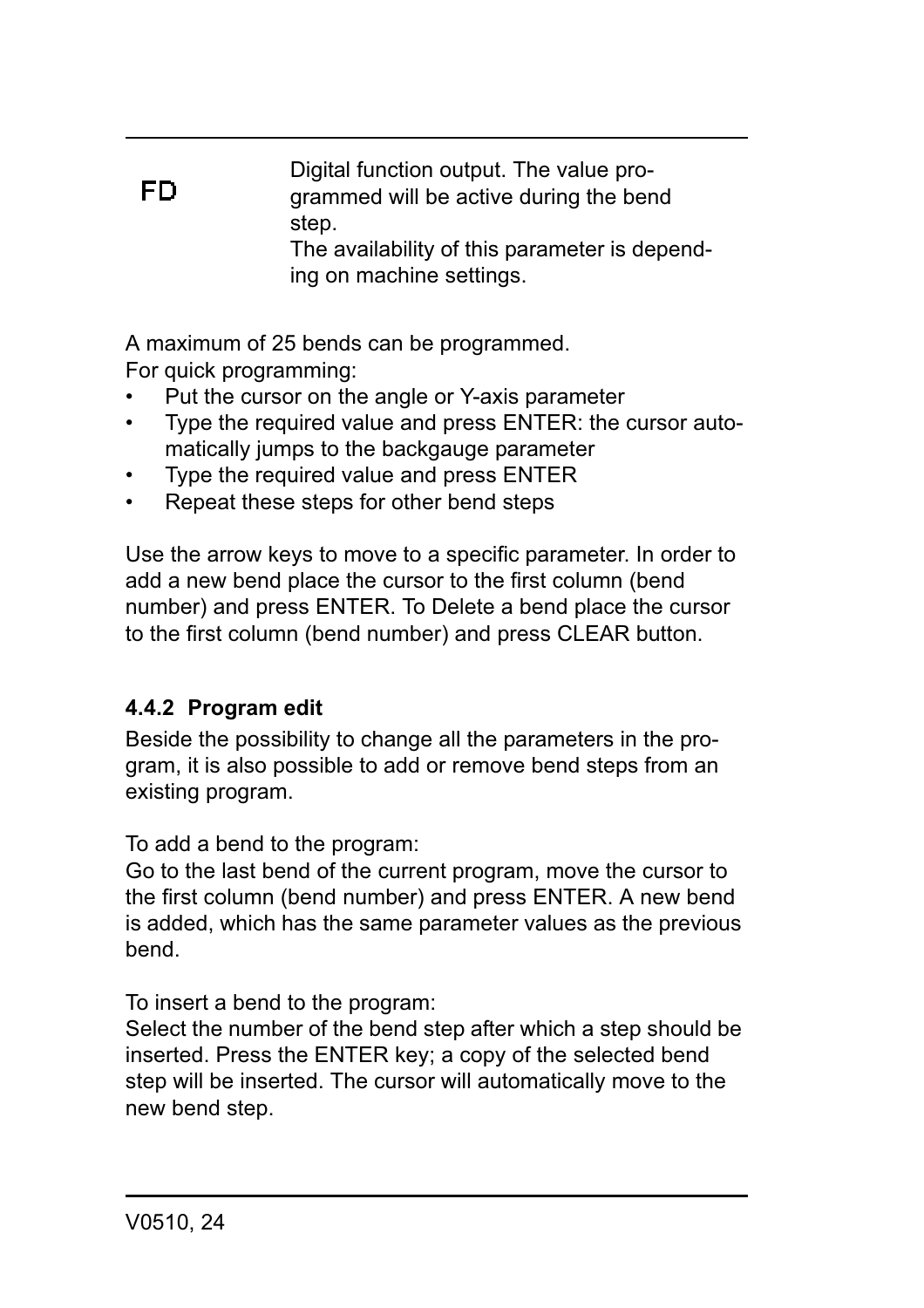#### Digital function output. The value pro-FD. grammed will be active during the bend step. The availability of this parameter is depending on machine settings.

A maximum of 25 bends can be programmed. For quick programming:

- Put the cursor on the angle or Y-axis parameter
- Type the required value and press ENTER: the cursor automatically jumps to the backgauge parameter
- Type the required value and press ENTER
- Repeat these steps for other bend steps

Use the arrow keys to move to a specific parameter. In order to add a new bend place the cursor to the first column (bend number) and press ENTER. To Delete a bend place the cursor to the first column (bend number) and press CLEAR button.

### **4.4.2 Program edit**

Beside the possibility to change all the parameters in the program, it is also possible to add or remove bend steps from an existing program.

To add a bend to the program:

Go to the last bend of the current program, move the cursor to the first column (bend number) and press ENTER. A new bend is added, which has the same parameter values as the previous bend.

To insert a bend to the program:

Select the number of the bend step after which a step should be inserted. Press the ENTER key; a copy of the selected bend step will be inserted. The cursor will automatically move to the new bend step.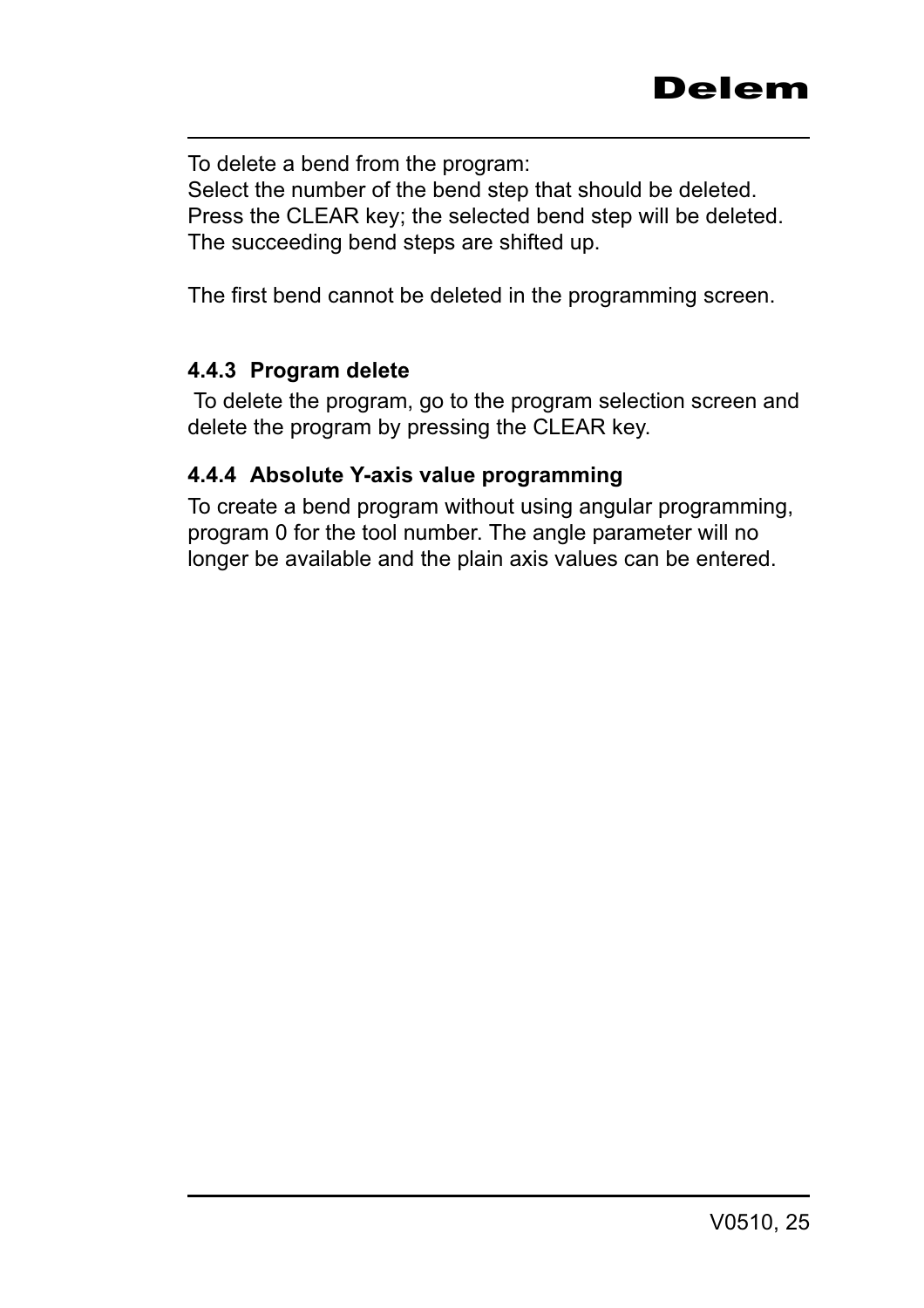To delete a bend from the program:

Select the number of the bend step that should be deleted. Press the CLEAR key; the selected bend step will be deleted. The succeeding bend steps are shifted up.

The first bend cannot be deleted in the programming screen.

#### **4.4.3 Program delete**

 To delete the program, go to the program selection screen and delete the program by pressing the CLEAR key.

#### **4.4.4 Absolute Y-axis value programming**

To create a bend program without using angular programming, program 0 for the tool number. The angle parameter will no longer be available and the plain axis values can be entered.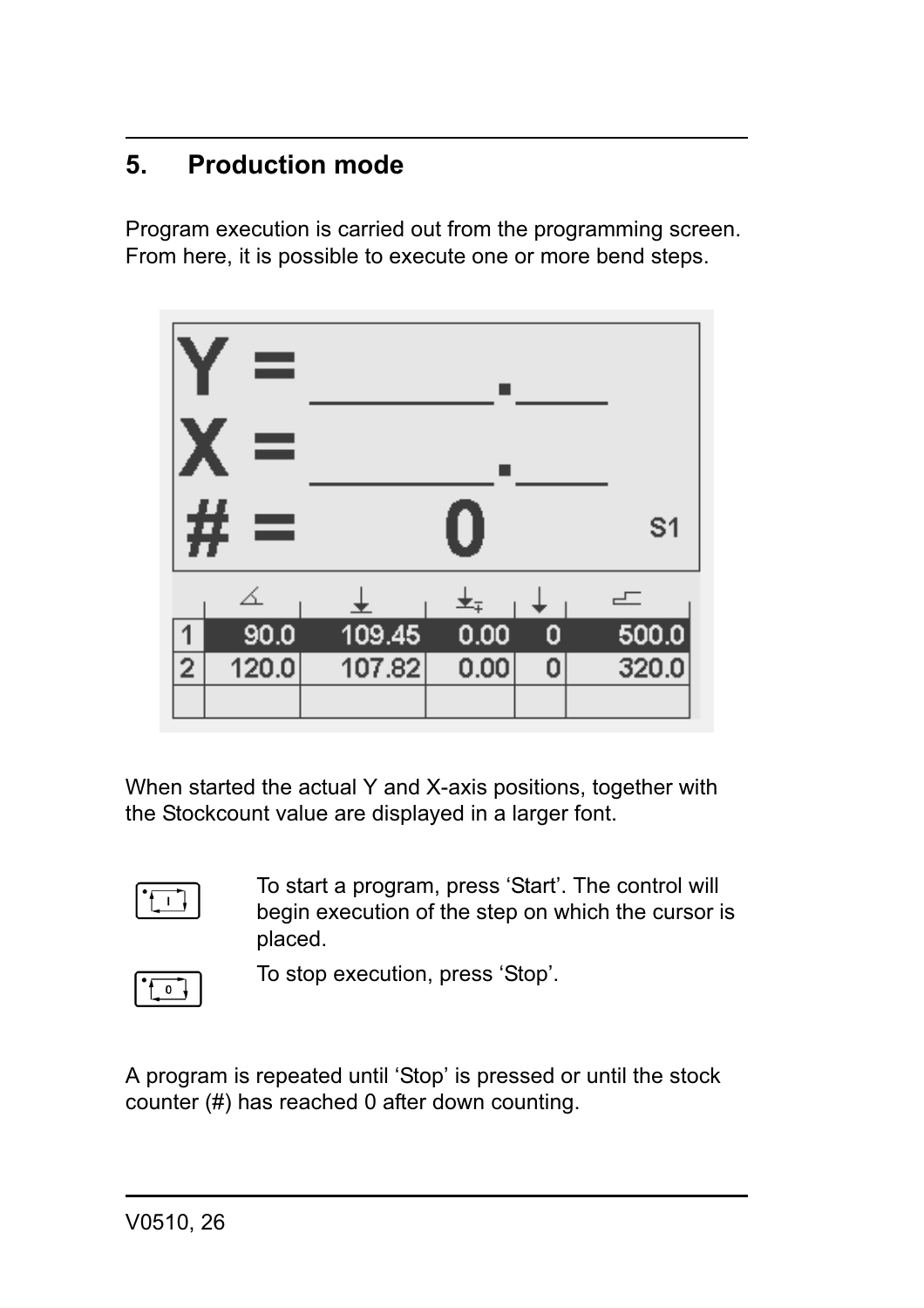## **5. Production mode**

Program execution is carried out from the programming screen. From here, it is possible to execute one or more bend steps.



When started the actual Y and X-axis positions, together with the Stockcount value are displayed in a larger font.

To start a program, press 'Start'. The control will begin execution of the step on which the cursor is placed.



To stop execution, press 'Stop'.

A program is repeated until 'Stop' is pressed or until the stock counter (#) has reached 0 after down counting.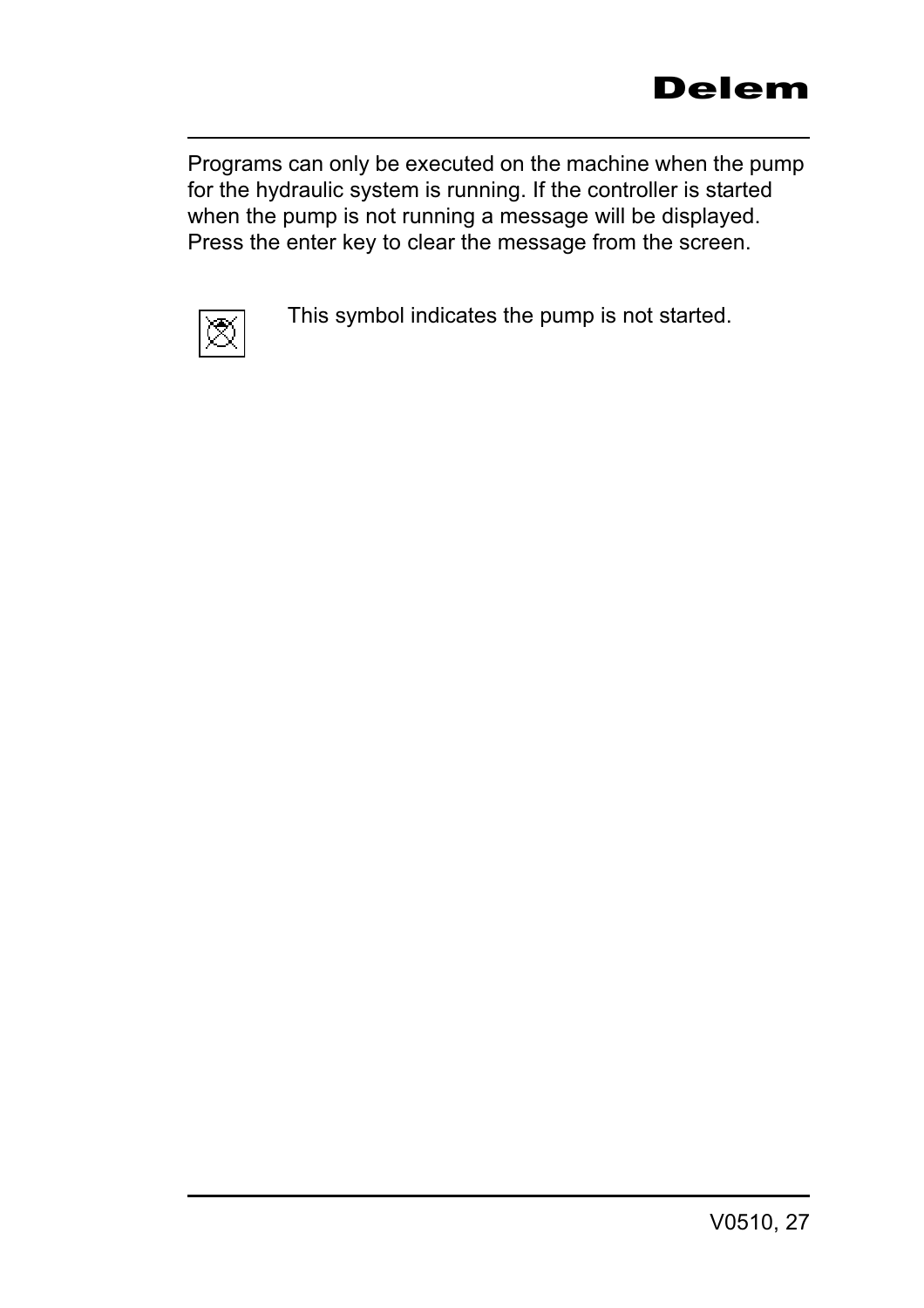Programs can only be executed on the machine when the pump for the hydraulic system is running. If the controller is started when the pump is not running a message will be displayed. Press the enter key to clear the message from the screen.



This symbol indicates the pump is not started.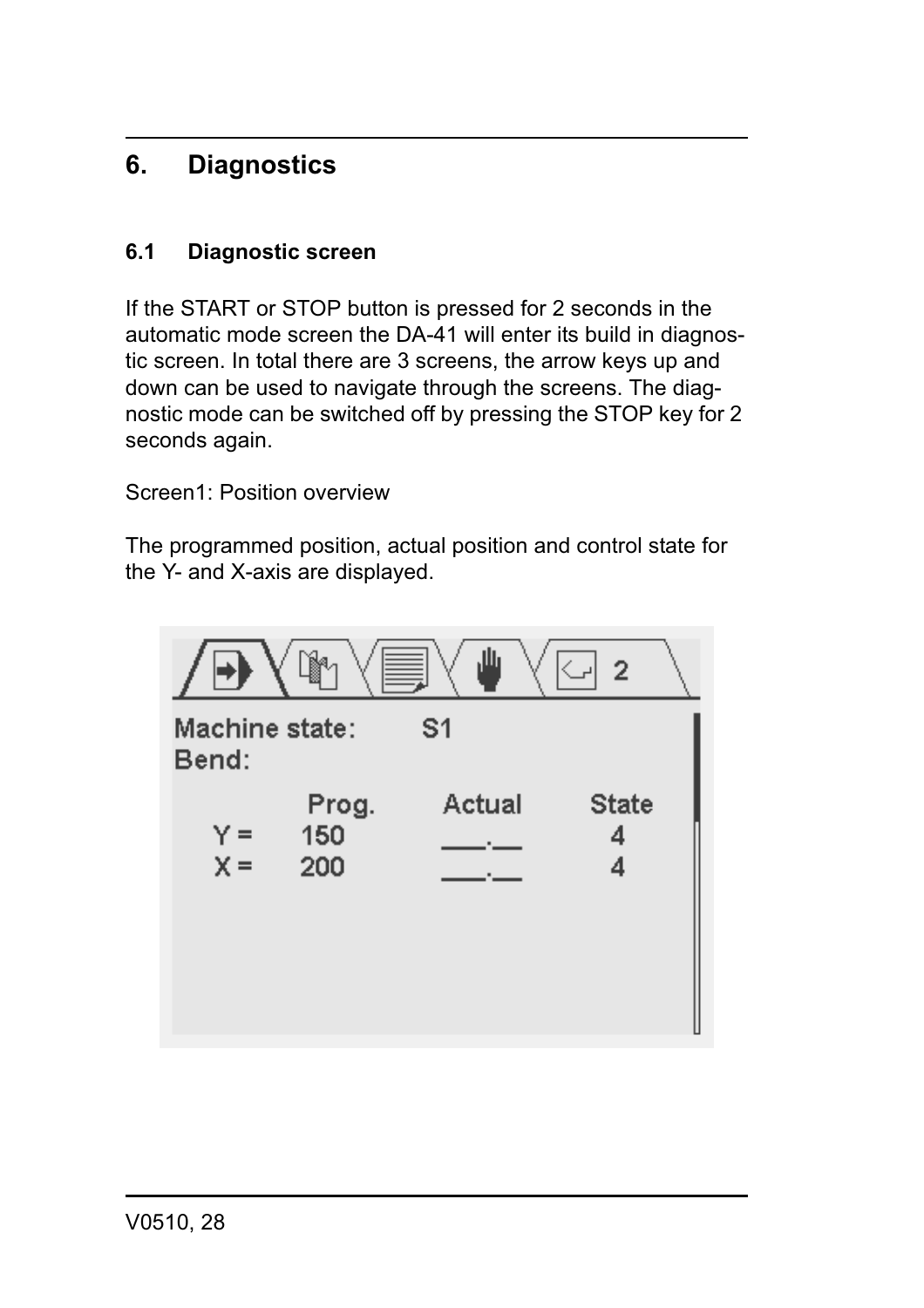## **6. Diagnostics**

## **6.1 Diagnostic screen**

If the START or STOP button is pressed for 2 seconds in the automatic mode screen the DA-41 will enter its build in diagnostic screen. In total there are 3 screens, the arrow keys up and down can be used to navigate through the screens. The diagnostic mode can be switched off by pressing the STOP key for 2 seconds again.

Screen1: Position overview

The programmed position, actual position and control state for the Y- and X-axis are displayed.

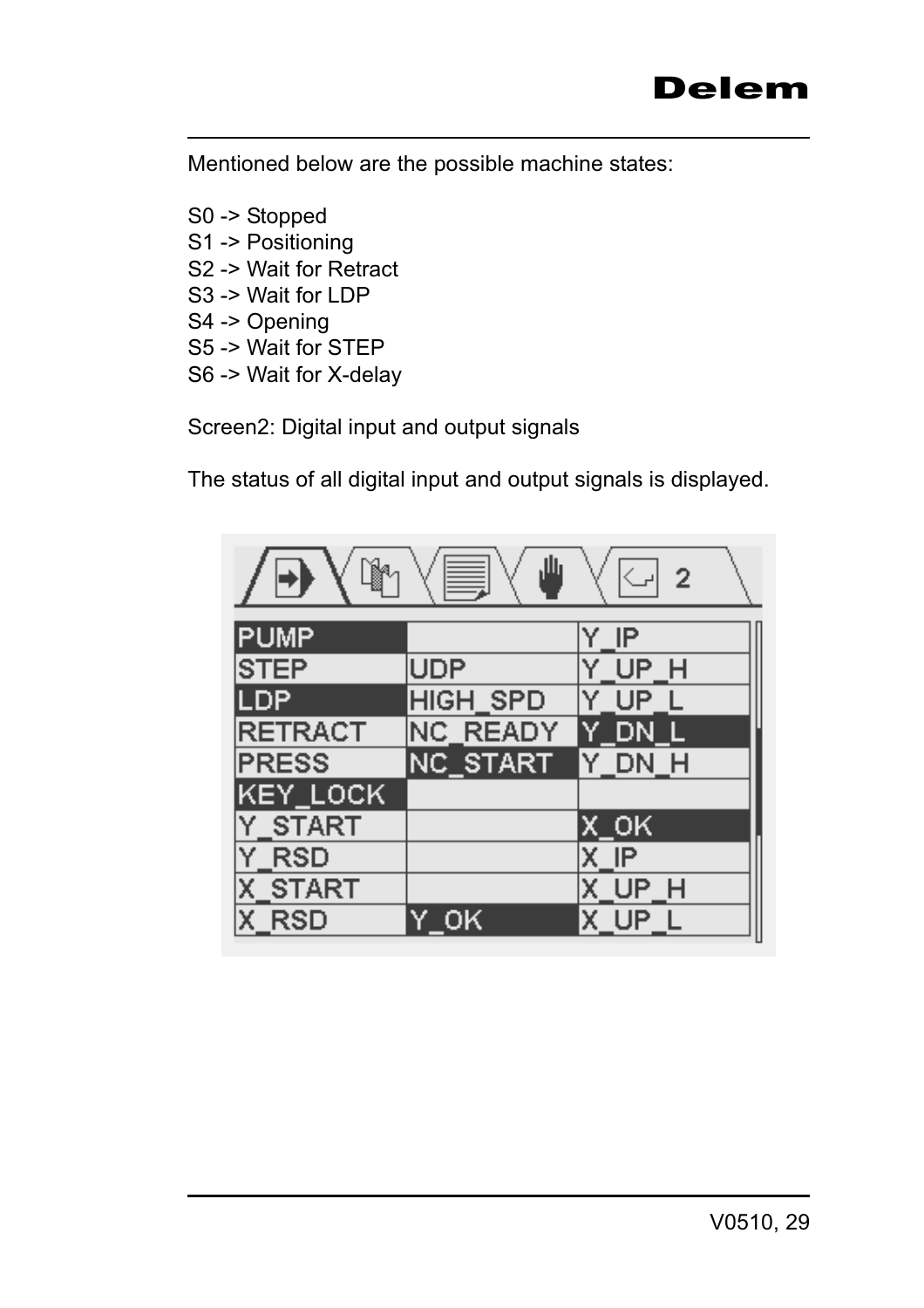Mentioned below are the possible machine states:

S0 -> Stopped S1 -> Positioning S2 -> Wait for Retract S3 -> Wait for LDP S4 -> Opening S5 -> Wait for STEP S6 -> Wait for X-delay

Screen2: Digital input and output signals

The status of all digital input and output signals is displayed.

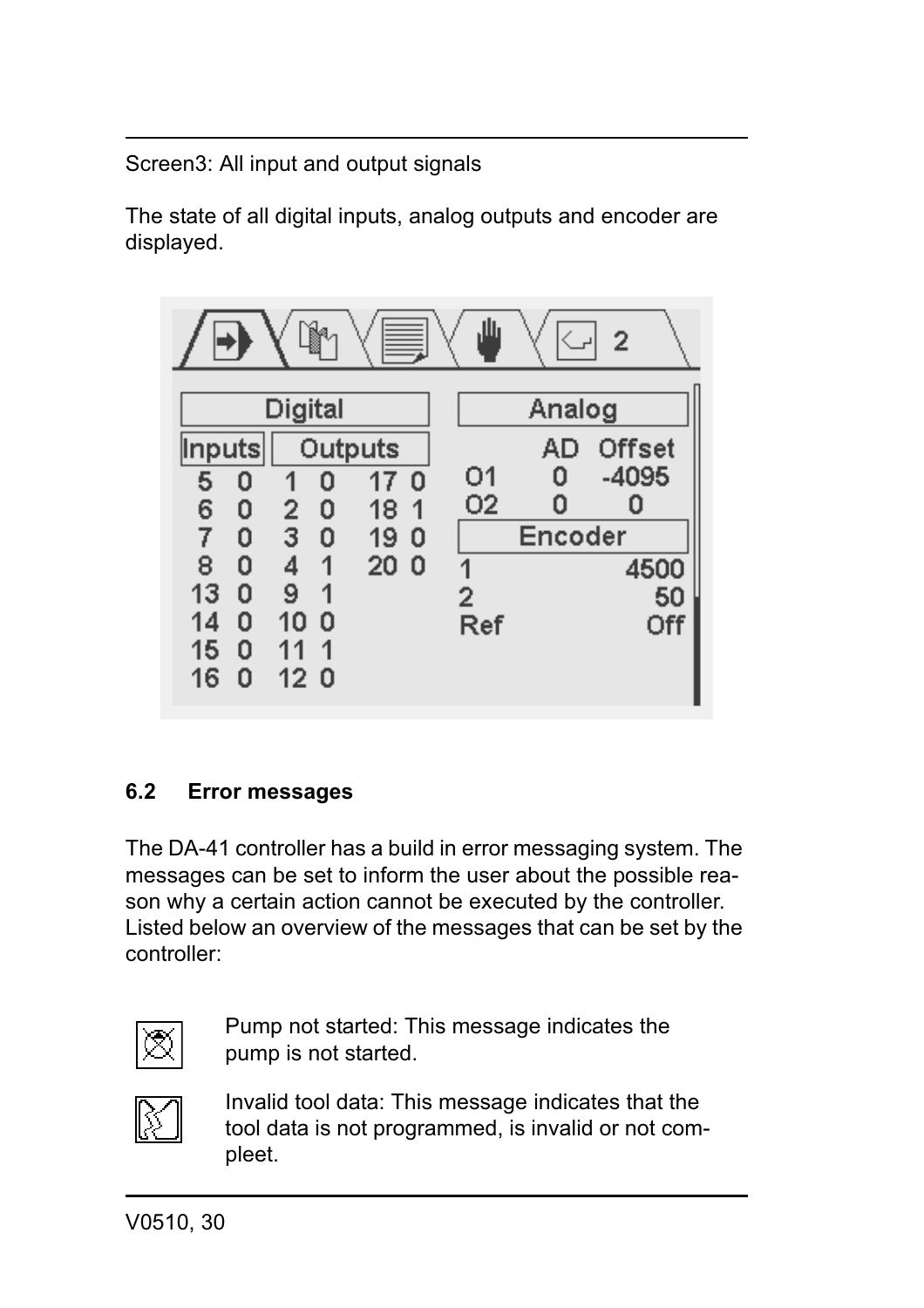Screen3: All input and output signals

The state of all digital inputs, analog outputs and encoder are displayed.



### **6.2 Error messages**

The DA-41 controller has a build in error messaging system. The messages can be set to inform the user about the possible reason why a certain action cannot be executed by the controller. Listed below an overview of the messages that can be set by the controller:



Pump not started: This message indicates the pump is not started.



Invalid tool data: This message indicates that the tool data is not programmed, is invalid or not compleet.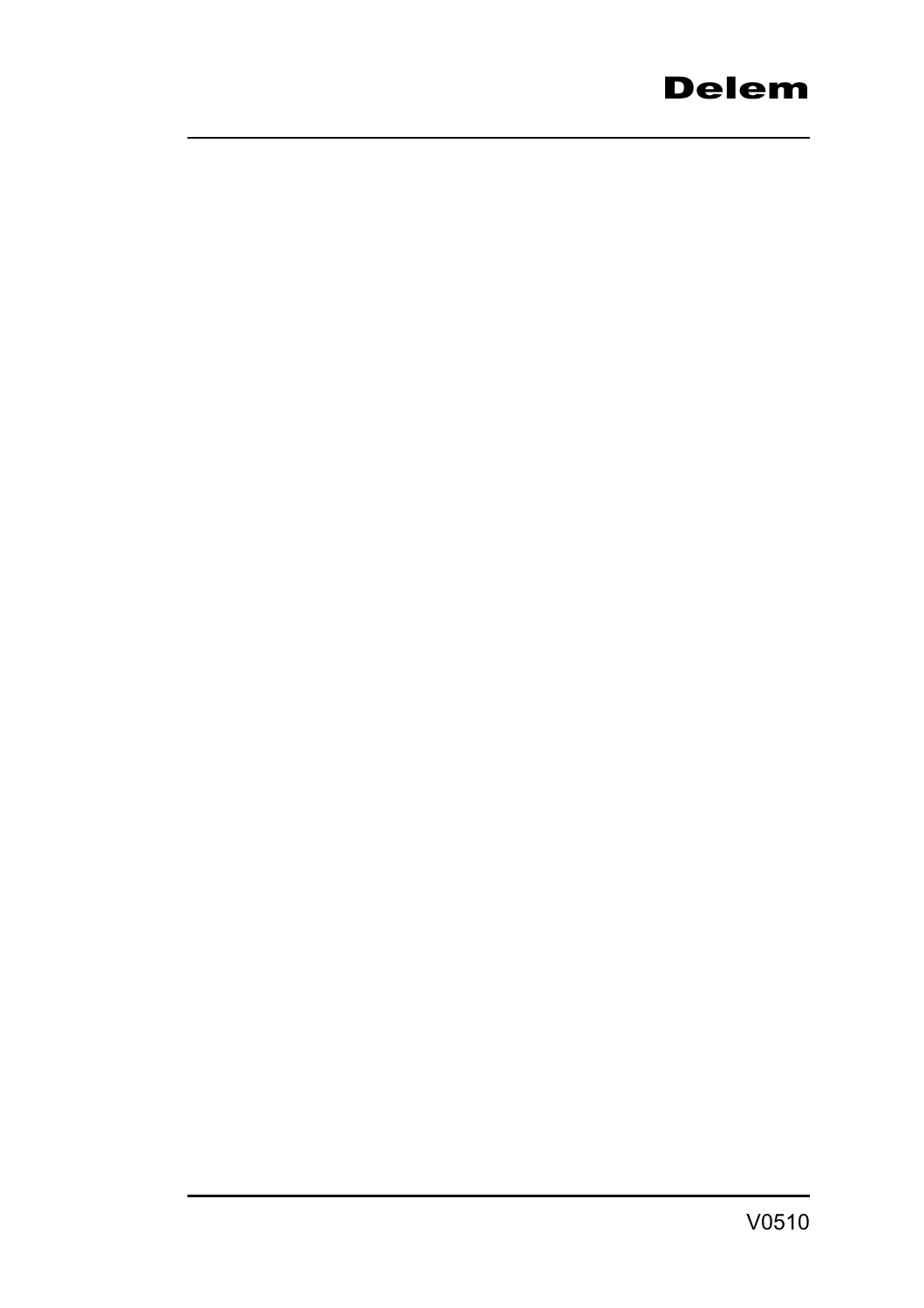## Delem